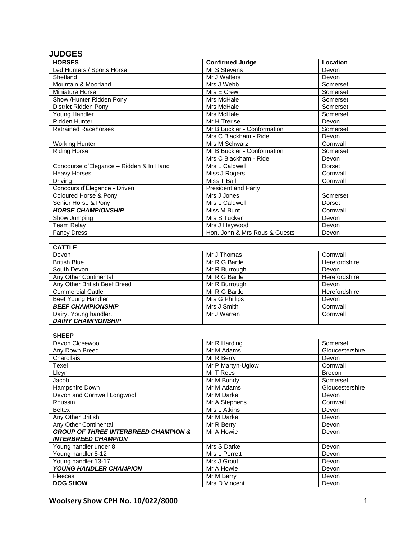## **JUDGES**

| <b>HORSES</b>                                   | <b>Confirmed Judge</b>        | Location        |
|-------------------------------------------------|-------------------------------|-----------------|
| Led Hunters / Sports Horse                      | Mr S Stevens                  | Devon           |
| Shetland                                        | Mr J Walters                  | Devon           |
| Mountain & Moorland                             | Mrs J Webb                    | Somerset        |
| Miniature Horse                                 | Mrs E Crew                    | Somerset        |
| Show /Hunter Ridden Pony                        | Mrs McHale                    | Somerset        |
| <b>District Ridden Pony</b>                     | Mrs McHale                    | Somerset        |
| Young Handler                                   | Mrs McHale                    | Somerset        |
| <b>Ridden Hunter</b>                            | Mr H Trerise                  | Devon           |
| <b>Retrained Racehorses</b>                     | Mr B Buckler - Conformation   | Somerset        |
|                                                 | Mrs C Blackham - Ride         | Devon           |
| <b>Working Hunter</b>                           | Mrs M Schwarz                 | Cornwall        |
| <b>Riding Horse</b>                             | Mr B Buckler - Conformation   | Somerset        |
|                                                 | Mrs C Blackham - Ride         | Devon           |
| Concourse d'Elegance - Ridden & In Hand         | Mrs L Caldwell                | Dorset          |
| <b>Heavy Horses</b>                             | Miss J Rogers                 | Cornwall        |
| Driving                                         | Miss T Ball                   | Cornwall        |
| Concours d'Elegance - Driven                    | <b>President and Party</b>    |                 |
| Coloured Horse & Pony                           | Mrs J Jones                   | Somerset        |
| Senior Horse & Pony                             | Mrs L Caldwell                | Dorset          |
| <b>HORSE CHAMPIONSHIP</b>                       | Miss M Bunt                   | Cornwall        |
| Show Jumping                                    | Mrs S Tucker                  | Devon           |
| <b>Team Relay</b>                               | Mrs J Heywood                 | Devon           |
| <b>Fancy Dress</b>                              | Hon. John & Mrs Rous & Guests | Devon           |
|                                                 |                               |                 |
| <b>CATTLE</b>                                   |                               |                 |
| Devon                                           | Mr J Thomas                   | Cornwall        |
| <b>British Blue</b>                             | Mr R G Bartle                 | Herefordshire   |
| South Devon                                     | Mr R Burrough                 | Devon           |
| Any Other Continental                           | Mr R G Bartle                 | Herefordshire   |
| Any Other British Beef Breed                    | Mr R Burrough                 | Devon           |
| <b>Commercial Cattle</b>                        | Mr R G Bartle                 | Herefordshire   |
| Beef Young Handler,                             | Mrs G Phillips                | Devon           |
| <b>BEEF CHAMPIONSHIP</b>                        | Mrs J Smith                   | Cornwall        |
| Dairy, Young handler,                           | Mr J Warren                   | Cornwall        |
| <b>DAIRY CHAMPIONSHIP</b>                       |                               |                 |
|                                                 |                               |                 |
| <b>SHEEP</b>                                    |                               |                 |
| Devon Closewool                                 | Mr R Harding                  | Somerset        |
| Any Down Breed                                  | Mr M Adams                    | Gloucestershire |
| Charollais                                      | Mr R Berry                    | Devon           |
| Texel                                           | Mr P Martyn-Uglow             | Cornwall        |
| Lleyn                                           | Mr T Rees                     | Brecon          |
| Jacob                                           | Mr M Bundy                    | Somerset        |
| Hampshire Down                                  | Mr M Adams                    | Gloucestershire |
| Devon and Cornwall Longwool                     | Mr M Darke                    | Devon           |
| Roussin                                         | Mr A Stephens                 | Cornwall        |
| <b>Beltex</b>                                   | Mrs L Atkins                  | Devon           |
| Any Other British                               | Mr M Darke                    | Devon           |
| Any Other Continental                           | Mr R Berry                    | Devon           |
| <b>GROUP OF THREE INTERBREED CHAMPION &amp;</b> | Mr A Howie                    | Devon           |
| <b>INTERBREED CHAMPION</b>                      |                               |                 |
| Young handler under 8                           | Mrs S Darke                   | Devon           |
| Young handler 8-12                              | Mrs L Perrett                 | Devon           |
| Young handler 13-17                             | Mrs J Grout                   | Devon           |
| YOUNG HANDLER CHAMPION                          | Mr A Howie                    | Devon           |
| Fleeces                                         | Mr M Berry                    | Devon           |
| <b>DOG SHOW</b>                                 | Mrs D Vincent                 | Devon           |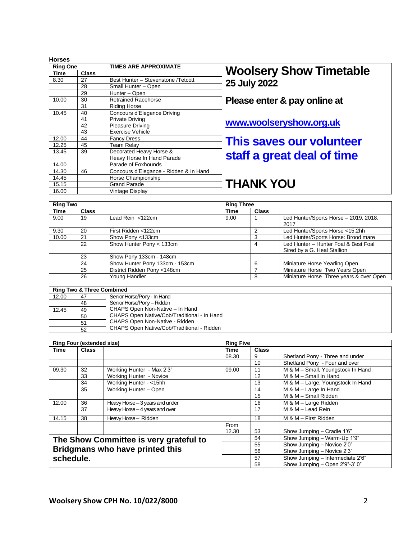| <b>Horses</b>   |       |                                        |
|-----------------|-------|----------------------------------------|
| <b>Ring One</b> |       | <b>TIMES ARE APPROXIMATE</b>           |
| Time            | Class |                                        |
| 8.30            | 27    | Best Hunter - Stevenstone /Tetcott     |
|                 | 28    | Small Hunter - Open                    |
|                 | 29    | Hunter - Open                          |
| 10.00           | 30    | <b>Retrained Racehorse</b>             |
|                 | 31    | <b>Riding Horse</b>                    |
| 10.45           | 40    | Concours d'Elegance Driving            |
|                 | 41    | <b>Private Driving</b>                 |
|                 | 42    | <b>Pleasure Driving</b>                |
|                 | 43    | <b>Exercise Vehicle</b>                |
| 12.00           | 44    | <b>Fancy Dress</b>                     |
| 12.25           | 45    | <b>Team Relay</b>                      |
| 13.45           | 39    | Decorated Heavy Horse &                |
|                 |       | Heavy Horse In Hand Parade             |
| 14.00           |       | Parade of Foxhounds                    |
| 14.30           | 46    | Concours d'Elegance - Ridden & In Hand |
| 14.45           |       | Horse Championship                     |
| 15.15           |       | <b>Grand Parade</b>                    |
| 16.00           |       | Vintage Display                        |

## **Woolsery Show Timetable 25 July 2022**

## **Please enter & pay online at**

## **[www.woolseryshow.org.uk](http://www.woolseryshow.org.uk/)**

# **This saves our volunteer staff a great deal of time**

# **THANK YOU**

| <b>Ring Two</b> |              |                                | <b>Ring Three</b> |              |                                                                     |
|-----------------|--------------|--------------------------------|-------------------|--------------|---------------------------------------------------------------------|
| Time            | <b>Class</b> |                                | Time              | <b>Class</b> |                                                                     |
| 9.00            | 19           | Lead Rein $<$ 122 $cm$         | 9.00              |              | Led Hunter/Sports Horse - 2019, 2018,                               |
|                 |              |                                |                   |              | 2017                                                                |
| 9.30            | 20           | First Ridden <122cm            |                   | 2            | Led Hunter/Sports Horse <15.2hh                                     |
| 10.00           | 21           | Show Pony <133cm               |                   | 3            | Led Hunter/Sports Horse: Brood mare                                 |
|                 | 22           | Show Hunter Pony < 133cm       |                   | 4            | Led Hunter - Hunter Foal & Best Foal<br>Sired by a G. Heal Stallion |
|                 | 23           | Show Pony 133cm - 148cm        |                   |              |                                                                     |
|                 | 24           | Show Hunter Pony 133cm - 153cm |                   | 6            | Miniature Horse Yearling Open                                       |
|                 | 25           | District Ridden Pony <148cm    |                   |              | Miniature Horse Two Years Open                                      |
|                 | 26           | Young Handler                  |                   | 8            | Miniature Horse Three years & over Open                             |

|       | <b>Ring Two &amp; Three Combined</b> |                                             |
|-------|--------------------------------------|---------------------------------------------|
| 12.00 | 47                                   | Senior Horse/Pony - In Hand                 |
|       | 48                                   | Senior Horse/Pony - Ridden                  |
| 12.45 | 49                                   | CHAPS Open Non-Native - In Hand             |
|       | 50                                   | CHAPS Open Native/Cob/Traditional - In Hand |
|       | 51                                   | CHAPS Open Non-Native - Ridden              |
|       | 52                                   | CHAPS Open Native/Cob/Traditional - Ridden  |

|           | <b>Ring Four (extended size)</b> |                                        | <b>Ring Five</b> |                                  |                                   |
|-----------|----------------------------------|----------------------------------------|------------------|----------------------------------|-----------------------------------|
| Time      | <b>Class</b>                     |                                        | Time             | <b>Class</b>                     |                                   |
|           |                                  |                                        | 08.30            | 9                                | Shetland Pony - Three and under   |
|           |                                  |                                        |                  | 10 <sup>°</sup>                  | Shetland Pony - Four and over     |
| 09.30     | 32                               | Working Hunter - Max 2'3'              | 09.00            | 11                               | M & M - Small, Youngstock In Hand |
|           | 33                               | Working Hunter - Novice                |                  | 12                               | M & M - Small In Hand             |
|           | 34                               | Working Hunter - <15hh                 |                  | 13                               | M & M - Large, Youngstock In Hand |
|           | 35                               | Working Hunter - Open                  |                  | 14                               | M & M - Large In Hand             |
|           |                                  |                                        |                  | 15                               | M & M - Small Ridden              |
| 12.00     | 36                               | Heavy Horse - 3 years and under        |                  | 16                               | M & M - Large Ridden              |
|           | 37                               | Heavy Horse - 4 years and over         |                  | 17                               | M & M - Lead Rein                 |
| 14.15     | 38                               | Heavy Horse - Ridden                   |                  | 18                               | M & M - First Ridden              |
|           |                                  |                                        | From             |                                  |                                   |
|           |                                  |                                        | 12.30            | 53                               | Show Jumping - Cradle 1'6"        |
|           |                                  | The Show Committee is very grateful to |                  | 54                               | Show Jumping - Warm-Up 1'9"       |
|           |                                  |                                        | 55               | Show Jumping - Novice 2'0"       |                                   |
|           | Bridgmans who have printed this  |                                        |                  | 56                               | Show Jumping - Novice 2'3"        |
| schedule. |                                  |                                        | 57               | Show Jumping - Intermediate 2'6" |                                   |
|           |                                  |                                        | 58               | Show Jumping - Open 2'9"-3' 0"   |                                   |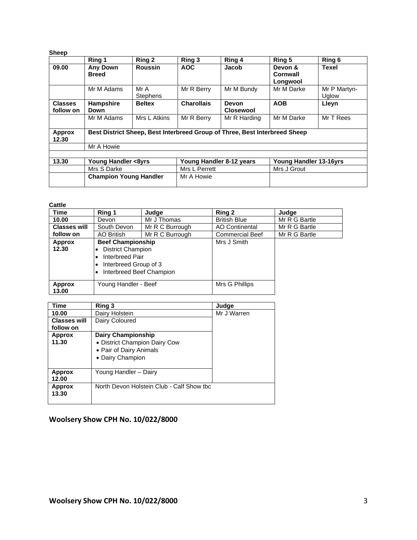| <b>Sheep</b>                |                                 |                         |                   |                                                                            |                                 |                       |
|-----------------------------|---------------------------------|-------------------------|-------------------|----------------------------------------------------------------------------|---------------------------------|-----------------------|
|                             | Ring 1                          | Ring 2                  | Ring 3            | Ring 4                                                                     | Ring 5                          | Ring 6                |
| 09.00                       | <b>Any Down</b><br><b>Breed</b> | <b>Roussin</b>          | <b>AOC</b>        | Jacob                                                                      | Devon &<br>Cornwall<br>Longwool | <b>Texel</b>          |
|                             | Mr M Adams                      | Mr A<br><b>Stephens</b> | Mr R Berry        | Mr M Bundy                                                                 | Mr M Darke                      | Mr P Martyn-<br>Uglow |
| <b>Classes</b><br>follow on | <b>Hampshire</b><br>Down        | <b>Beltex</b>           | <b>Charollais</b> | <b>Devon</b><br><b>Closewool</b>                                           | <b>AOB</b>                      | Lleyn                 |
|                             | Mr M Adams                      | Mrs L Atkins            | Mr R Berry        | Mr R Harding                                                               | Mr M Darke                      | Mr T Rees             |
| Approx<br>12.30             |                                 |                         |                   | Best District Sheep, Best Interbreed Group of Three, Best Interbreed Sheep |                                 |                       |
|                             | Mr A Howie                      |                         |                   |                                                                            |                                 |                       |
|                             |                                 |                         |                   |                                                                            |                                 |                       |
| 13.30                       | Young Handler <8yrs             |                         |                   | Young Handler 8-12 years                                                   | Young Handler 13-16yrs          |                       |
|                             | Mrs S Darke                     |                         | Mrs L Perrett     |                                                                            | Mrs J Grout                     |                       |
|                             | <b>Champion Young Handler</b>   |                         | Mr A Howie        |                                                                            |                                 |                       |

#### **Cattle**

| Time                | Ring 1                                                                                                                       | Judge           | Ring 2                 | Judge         |
|---------------------|------------------------------------------------------------------------------------------------------------------------------|-----------------|------------------------|---------------|
| 10.00               | Devon                                                                                                                        | Mr J Thomas     | <b>British Blue</b>    | Mr R G Bartle |
| <b>Classes will</b> | South Devon                                                                                                                  | Mr R C Burrough | <b>AO Continental</b>  | Mr R G Bartle |
| follow on           | AO British                                                                                                                   | Mr R C Burrough | <b>Commercial Beef</b> | Mr R G Bartle |
| Approx<br>12.30     | <b>Beef Championship</b><br><b>District Champion</b><br>Interbreed Pair<br>Interbreed Group of 3<br>Interbreed Beef Champion |                 | Mrs J Smith            |               |
| Approx<br>13.00     | Young Handler - Beef                                                                                                         |                 | Mrs G Phillips         |               |

| Time                             | Ring 3                                                                                                    | Judge       |
|----------------------------------|-----------------------------------------------------------------------------------------------------------|-------------|
| 10.00                            | Dairy Holstein                                                                                            | Mr J Warren |
| <b>Classes will</b><br>follow on | Dairy Coloured                                                                                            |             |
| <b>Approx</b><br>11.30           | <b>Dairy Championship</b><br>• District Champion Dairy Cow<br>• Pair of Dairy Animals<br>• Dairy Champion |             |
| <b>Approx</b><br>12.00           | Young Handler - Dairy                                                                                     |             |
| <b>Approx</b><br>13.30           | North Devon Holstein Club - Calf Show tbc                                                                 |             |

## **Woolsery Show CPH No. 10/022/8000**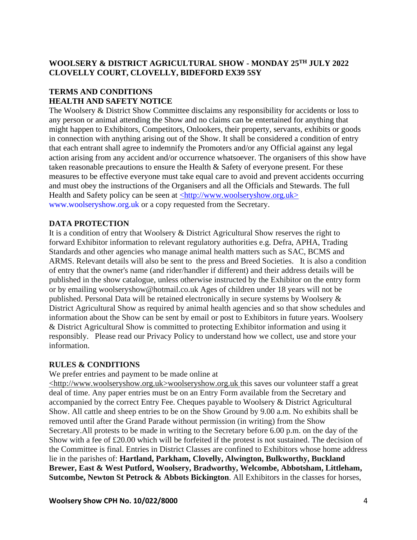## **WOOLSERY & DISTRICT AGRICULTURAL SHOW - MONDAY 25TH JULY 2022 CLOVELLY COURT, CLOVELLY, BIDEFORD EX39 5SY**

## **TERMS AND CONDITIONS HEALTH AND SAFETY NOTICE**

The Woolsery & District Show Committee disclaims any responsibility for accidents or loss to any person or animal attending the Show and no claims can be entertained for anything that might happen to Exhibitors, Competitors, Onlookers, their property, servants, exhibits or goods in connection with anything arising out of the Show. It shall be considered a condition of entry that each entrant shall agree to indemnify the Promoters and/or any Official against any legal action arising from any accident and/or occurrence whatsoever. The organisers of this show have taken reasonable precautions to ensure the Health & Safety of everyone present. For these measures to be effective everyone must take equal care to avoid and prevent accidents occurring and must obey the instructions of the Organisers and all the Officials and Stewards. The full Health and Safety policy can be seen at [<http://www.woolseryshow.org.uk>](http://www.woolseryshow.org.uk/) [www.woolseryshow.org.uk](file:///C:/Users/demo/Downloads/www.woolseryshow.org.uk) or a copy requested from the Secretary.

## **DATA PROTECTION**

It is a condition of entry that Woolsery & District Agricultural Show reserves the right to forward Exhibitor information to relevant regulatory authorities e.g. Defra, APHA, Trading Standards and other agencies who manage animal health matters such as SAC, BCMS and ARMS. Relevant details will also be sent to the press and Breed Societies. It is also a condition of entry that the owner's name (and rider/handler if different) and their address details will be published in the show catalogue, unless otherwise instructed by the Exhibitor on the entry form or by emailing woolseryshow@hotmail.co.uk Ages of children under 18 years will not be published. Personal Data will be retained electronically in secure systems by Woolsery & District Agricultural Show as required by animal health agencies and so that show schedules and information about the Show can be sent by email or post to Exhibitors in future years. Woolsery & District Agricultural Show is committed to protecting Exhibitor information and using it responsibly. Please read our Privacy Policy to understand how we collect, use and store your information.

## **RULES & CONDITIONS**

We prefer entries and payment to be made online at

[<http://www.woolseryshow.org.uk>](http://www.woolseryshow.org.uk/)woolseryshow.org.uk this saves our volunteer staff a great deal of time. Any paper entries must be on an Entry Form available from the Secretary and accompanied by the correct Entry Fee. Cheques payable to Woolsery & District Agricultural Show. All cattle and sheep entries to be on the Show Ground by 9.00 a.m. No exhibits shall be removed until after the Grand Parade without permission (in writing) from the Show Secretary.All protests to be made in writing to the Secretary before 6.00 p.m. on the day of the Show with a fee of £20.00 which will be forfeited if the protest is not sustained. The decision of the Committee is final. Entries in District Classes are confined to Exhibitors whose home address lie in the parishes of: **Hartland, Parkham, Clovelly, Alwington, Bulkworthy, Buckland Brewer, East & West Putford, Woolsery, Bradworthy, Welcombe, Abbotsham, Littleham, Sutcombe, Newton St Petrock & Abbots Bickington**. All Exhibitors in the classes for horses,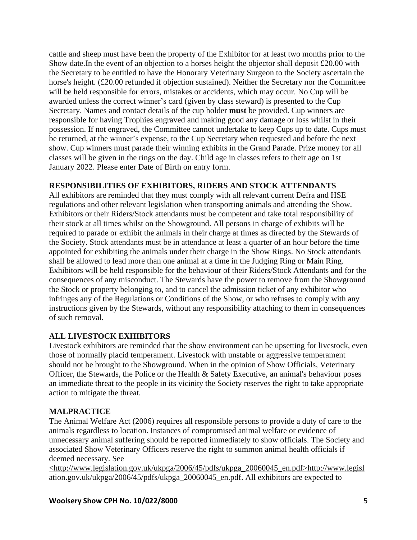cattle and sheep must have been the property of the Exhibitor for at least two months prior to the Show date.In the event of an objection to a horses height the objector shall deposit £20.00 with the Secretary to be entitled to have the Honorary Veterinary Surgeon to the Society ascertain the horse's height. (£20.00 refunded if objection sustained). Neither the Secretary nor the Committee will be held responsible for errors, mistakes or accidents, which may occur. No Cup will be awarded unless the correct winner's card (given by class steward) is presented to the Cup Secretary. Names and contact details of the cup holder **must** be provided. Cup winners are responsible for having Trophies engraved and making good any damage or loss whilst in their possession. If not engraved, the Committee cannot undertake to keep Cups up to date. Cups must be returned, at the winner's expense, to the Cup Secretary when requested and before the next show. Cup winners must parade their winning exhibits in the Grand Parade. Prize money for all classes will be given in the rings on the day. Child age in classes refers to their age on 1st January 2022. Please enter Date of Birth on entry form.

## **RESPONSIBILITIES OF EXHIBITORS, RIDERS AND STOCK ATTENDANTS**

All exhibitors are reminded that they must comply with all relevant current Defra and HSE regulations and other relevant legislation when transporting animals and attending the Show. Exhibitors or their Riders/Stock attendants must be competent and take total responsibility of their stock at all times whilst on the Showground. All persons in charge of exhibits will be required to parade or exhibit the animals in their charge at times as directed by the Stewards of the Society. Stock attendants must be in attendance at least a quarter of an hour before the time appointed for exhibiting the animals under their charge in the Show Rings. No Stock attendants shall be allowed to lead more than one animal at a time in the Judging Ring or Main Ring. Exhibitors will be held responsible for the behaviour of their Riders/Stock Attendants and for the consequences of any misconduct. The Stewards have the power to remove from the Showground the Stock or property belonging to, and to cancel the admission ticket of any exhibitor who infringes any of the Regulations or Conditions of the Show, or who refuses to comply with any instructions given by the Stewards, without any responsibility attaching to them in consequences of such removal.

## **ALL LIVESTOCK EXHIBITORS**

Livestock exhibitors are reminded that the show environment can be upsetting for livestock, even those of normally placid temperament. Livestock with unstable or aggressive temperament should not be brought to the Showground. When in the opinion of Show Officials, Veterinary Officer, the Stewards, the Police or the Health & Safety Executive, an animal's behaviour poses an immediate threat to the people in its vicinity the Society reserves the right to take appropriate action to mitigate the threat.

## **MALPRACTICE**

The Animal Welfare Act (2006) requires all responsible persons to provide a duty of care to the animals regardless to location. Instances of compromised animal welfare or evidence of unnecessary animal suffering should be reported immediately to show officials. The Society and associated Show Veterinary Officers reserve the right to summon animal health officials if deemed necessary. See

[<http://www.legislation.gov.uk/ukpga/2006/45/pdfs/ukpga\\_20060045\\_en.pdf>http://www.legisl](http://www.legislation.gov.uk/ukpga/2006/45/pdfs/ukpga_20060045_en.pdf) [ation.gov.uk/ukpga/2006/45/pdfs/ukpga\\_20060045\\_en.pdf.](http://www.legislation.gov.uk/ukpga/2006/45/pdfs/ukpga_20060045_en.pdf) All exhibitors are expected to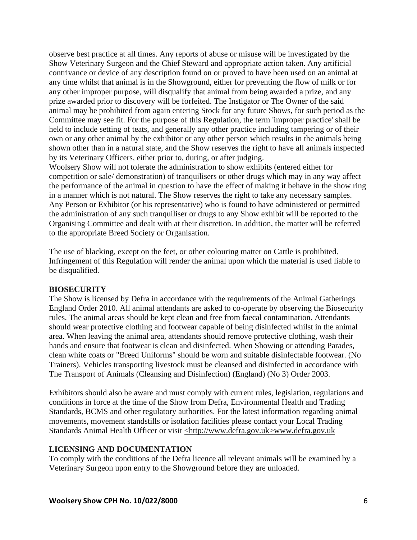observe best practice at all times. Any reports of abuse or misuse will be investigated by the Show Veterinary Surgeon and the Chief Steward and appropriate action taken. Any artificial contrivance or device of any description found on or proved to have been used on an animal at any time whilst that animal is in the Showground, either for preventing the flow of milk or for any other improper purpose, will disqualify that animal from being awarded a prize, and any prize awarded prior to discovery will be forfeited. The Instigator or The Owner of the said animal may be prohibited from again entering Stock for any future Shows, for such period as the Committee may see fit. For the purpose of this Regulation, the term 'improper practice' shall be held to include setting of teats, and generally any other practice including tampering or of their own or any other animal by the exhibitor or any other person which results in the animals being shown other than in a natural state, and the Show reserves the right to have all animals inspected by its Veterinary Officers, either prior to, during, or after judging.

Woolsery Show will not tolerate the administration to show exhibits (entered either for competition or sale/ demonstration) of tranquilisers or other drugs which may in any way affect the performance of the animal in question to have the effect of making it behave in the show ring in a manner which is not natural. The Show reserves the right to take any necessary samples. Any Person or Exhibitor (or his representative) who is found to have administered or permitted the administration of any such tranquiliser or drugs to any Show exhibit will be reported to the Organising Committee and dealt with at their discretion. In addition, the matter will be referred to the appropriate Breed Society or Organisation.

The use of blacking, except on the feet, or other colouring matter on Cattle is prohibited. Infringement of this Regulation will render the animal upon which the material is used liable to be disqualified.

#### **BIOSECURITY**

The Show is licensed by Defra in accordance with the requirements of the Animal Gatherings England Order 2010. All animal attendants are asked to co-operate by observing the Biosecurity rules. The animal areas should be kept clean and free from faecal contamination. Attendants should wear protective clothing and footwear capable of being disinfected whilst in the animal area. When leaving the animal area, attendants should remove protective clothing, wash their hands and ensure that footwear is clean and disinfected. When Showing or attending Parades, clean white coats or "Breed Uniforms" should be worn and suitable disinfectable footwear. (No Trainers). Vehicles transporting livestock must be cleansed and disinfected in accordance with The Transport of Animals (Cleansing and Disinfection) (England) (No 3) Order 2003.

Exhibitors should also be aware and must comply with current rules, legislation, regulations and conditions in force at the time of the Show from Defra, Environmental Health and Trading Standards, BCMS and other regulatory authorities. For the latest information regarding animal movements, movement standstills or isolation facilities please contact your Local Trading Standards Animal Health Officer or visit [<http://www.defra.gov.uk](http://www.defra.gov.uk/)[>www.defra.gov.uk](file:///C:/Users/demo/Downloads/www.defra.gov.uk)

#### **LICENSING AND DOCUMENTATION**

To comply with the conditions of the Defra licence all relevant animals will be examined by a Veterinary Surgeon upon entry to the Showground before they are unloaded.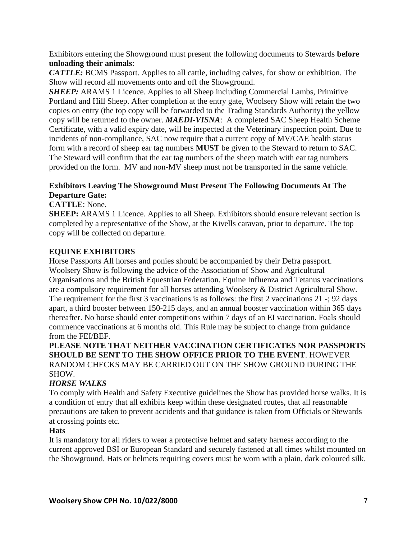Exhibitors entering the Showground must present the following documents to Stewards **before unloading their animals**:

*CATTLE:* BCMS Passport. Applies to all cattle, including calves, for show or exhibition. The Show will record all movements onto and off the Showground.

*SHEEP:* ARAMS 1 Licence. Applies to all Sheep including Commercial Lambs, Primitive Portland and Hill Sheep. After completion at the entry gate, Woolsery Show will retain the two copies on entry (the top copy will be forwarded to the Trading Standards Authority) the yellow copy will be returned to the owner. *MAEDI-VISNA*: A completed SAC Sheep Health Scheme Certificate, with a valid expiry date, will be inspected at the Veterinary inspection point. Due to incidents of non-compliance, SAC now require that a current copy of MV/CAE health status form with a record of sheep ear tag numbers **MUST** be given to the Steward to return to SAC. The Steward will confirm that the ear tag numbers of the sheep match with ear tag numbers provided on the form. MV and non-MV sheep must not be transported in the same vehicle.

## **Exhibitors Leaving The Showground Must Present The Following Documents At The Departure Gate:**

**CATTLE**: None.

**SHEEP:** ARAMS 1 Licence. Applies to all Sheep. Exhibitors should ensure relevant section is completed by a representative of the Show, at the Kivells caravan, prior to departure. The top copy will be collected on departure.

## **EQUINE EXHIBITORS**

Horse Passports All horses and ponies should be accompanied by their Defra passport. Woolsery Show is following the advice of the Association of Show and Agricultural Organisations and the British Equestrian Federation. Equine Influenza and Tetanus vaccinations are a compulsory requirement for all horses attending Woolsery & District Agricultural Show. The requirement for the first 3 vaccinations is as follows: the first 2 vaccinations 21 -; 92 days apart, a third booster between 150-215 days, and an annual booster vaccination within 365 days thereafter. No horse should enter competitions within 7 days of an EI vaccination. Foals should commence vaccinations at 6 months old. This Rule may be subject to change from guidance from the FEI/BEF.

## **PLEASE NOTE THAT NEITHER VACCINATION CERTIFICATES NOR PASSPORTS SHOULD BE SENT TO THE SHOW OFFICE PRIOR TO THE EVENT**. HOWEVER RANDOM CHECKS MAY BE CARRIED OUT ON THE SHOW GROUND DURING THE SHOW.

## *HORSE WALKS*

To comply with Health and Safety Executive guidelines the Show has provided horse walks. It is a condition of entry that all exhibits keep within these designated routes, that all reasonable precautions are taken to prevent accidents and that guidance is taken from Officials or Stewards at crossing points etc.

## **Hats**

It is mandatory for all riders to wear a protective helmet and safety harness according to the current approved BSI or European Standard and securely fastened at all times whilst mounted on the Showground. Hats or helmets requiring covers must be worn with a plain, dark coloured silk.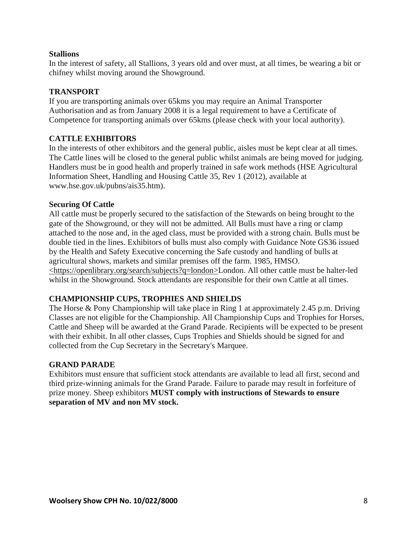## **Stallions**

In the interest of safety, all Stallions, 3 years old and over must, at all times, be wearing a bit or chifney whilst moving around the Showground.

## **TRANSPORT**

If you are transporting animals over 65kms you may require an Animal Transporter Authorisation and as from January 2008 it is a legal requirement to have a Certificate of Competence for transporting animals over 65kms (please check with your local authority).

## **CATTLE EXHIBITORS**

In the interests of other exhibitors and the general public, aisles must be kept clear at all times. The Cattle lines will be closed to the general public whilst animals are being moved for judging. Handlers must be in good health and properly trained in safe work methods (HSE Agricultural Information Sheet, Handling and Housing Cattle 35, Rev 1 (2012), available at [www.hse.gov.uk/pubns/ais35.htm\)](file:///C:/Users/demo/Downloads/www.hse.gov.uk/pubns/ais35.htm).

#### **Securing Of Cattle**

All cattle must be properly secured to the satisfaction of the Stewards on being brought to the gate of the Showground, or they will not be admitted. All Bulls must have a ring or clamp attached to the nose and, in the aged class, must be provided with a strong chain. Bulls must be double tied in the lines. Exhibitors of bulls must also comply with Guidance Note GS36 issued by the Health and Safety Executive concerning the Safe custody and handling of bulls at agricultural shows, markets and similar premises off the farm. 1985, HMSO. [<https://openlibrary.org/search/subjects?q=london>](https://openlibrary.org/search/subjects?q=london)London. All other cattle must be halter-led whilst in the Showground. Stock attendants are responsible for their own Cattle at all times.

#### **CHAMPIONSHIP CUPS, TROPHIES AND SHIELDS**

The Horse & Pony Championship will take place in Ring 1 at approximately 2.45 p.m. Driving Classes are not eligible for the Championship. All Championship Cups and Trophies for Horses, Cattle and Sheep will be awarded at the Grand Parade. Recipients will be expected to be present with their exhibit. In all other classes, Cups Trophies and Shields should be signed for and collected from the Cup Secretary in the Secretary's Marquee.

#### **GRAND PARADE**

Exhibitors must ensure that sufficient stock attendants are available to lead all first, second and third prize-winning animals for the Grand Parade. Failure to parade may result in forfeiture of prize money. Sheep exhibitors **MUST comply with instructions of Stewards to ensure separation of MV and non MV stock.**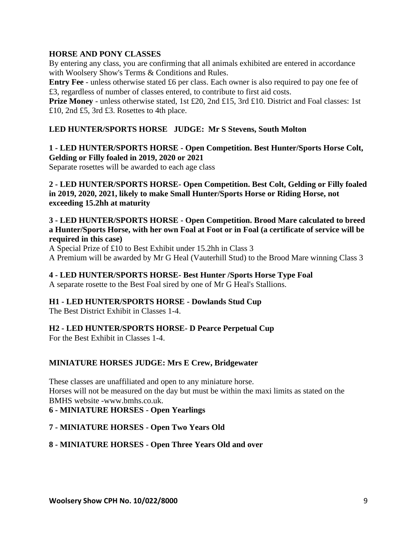## **HORSE AND PONY CLASSES**

By entering any class, you are confirming that all animals exhibited are entered in accordance with Woolsery Show's Terms & Conditions and Rules.

**Entry Fee** - unless otherwise stated £6 per class. Each owner is also required to pay one fee of £3, regardless of number of classes entered, to contribute to first aid costs.

**Prize Money** - unless otherwise stated, 1st £20, 2nd £15, 3rd £10. District and Foal classes: 1st £10, 2nd £5, 3rd £3. Rosettes to 4th place.

## **LED HUNTER/SPORTS HORSE JUDGE: Mr S Stevens, South Molton**

## **1 - LED HUNTER/SPORTS HORSE - Open Competition. Best Hunter/Sports Horse Colt, Gelding or Filly foaled in 2019, 2020 or 2021**

Separate rosettes will be awarded to each age class

**2 - LED HUNTER/SPORTS HORSE- Open Competition. Best Colt, Gelding or Filly foaled in 2019, 2020, 2021, likely to make Small Hunter/Sports Horse or Riding Horse, not exceeding 15.2hh at maturity**

## **3 - LED HUNTER/SPORTS HORSE - Open Competition. Brood Mare calculated to breed a Hunter/Sports Horse, with her own Foal at Foot or in Foal (a certificate of service will be required in this case)**

A Special Prize of £10 to Best Exhibit under 15.2hh in Class 3

A Premium will be awarded by Mr G Heal (Vauterhill Stud) to the Brood Mare winning Class 3

#### **4 - LED HUNTER/SPORTS HORSE- Best Hunter /Sports Horse Type Foal**

A separate rosette to the Best Foal sired by one of Mr G Heal's Stallions.

## **H1 - LED HUNTER/SPORTS HORSE - Dowlands Stud Cup**

The Best District Exhibit in Classes 1-4.

## **H2 - LED HUNTER/SPORTS HORSE- D Pearce Perpetual Cup**

For the Best Exhibit in Classes 1-4.

#### **MINIATURE HORSES JUDGE: Mrs E Crew, Bridgewater**

These classes are unaffiliated and open to any miniature horse. Horses will not be measured on the day but must be within the maxi limits as stated on the BMHS website [-www.bmhs.co.uk.](file:///C:/Users/demo/Downloads/www.bmhs.co.uk)

#### **6 - MINIATURE HORSES - Open Yearlings**

#### **7 - MINIATURE HORSES - Open Two Years Old**

## **8 - MINIATURE HORSES - Open Three Years Old and over**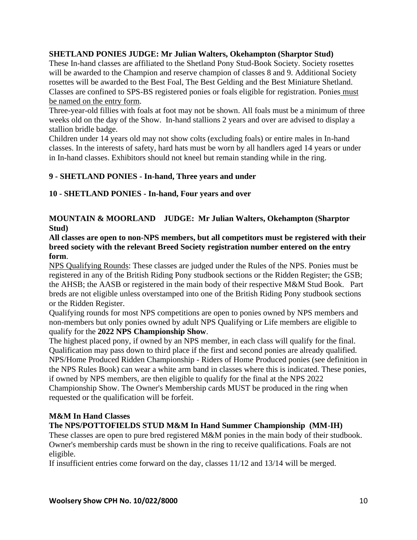## **SHETLAND PONIES JUDGE: Mr Julian Walters, Okehampton (Sharptor Stud)**

These In-hand classes are affiliated to the Shetland Pony Stud-Book Society. Society rosettes will be awarded to the Champion and reserve champion of classes 8 and 9. Additional Society rosettes will be awarded to the Best Foal, The Best Gelding and the Best Miniature Shetland. Classes are confined to SPS-BS registered ponies or foals eligible for registration. Ponies must be named on the entry form.

Three-year-old fillies with foals at foot may not be shown. All foals must be a minimum of three weeks old on the day of the Show. In-hand stallions 2 years and over are advised to display a stallion bridle badge.

Children under 14 years old may not show colts (excluding foals) or entire males in In-hand classes. In the interests of safety, hard hats must be worn by all handlers aged 14 years or under in In-hand classes. Exhibitors should not kneel but remain standing while in the ring.

## **9 - SHETLAND PONIES - In-hand, Three years and under**

**10 - SHETLAND PONIES - In-hand, Four years and over**

## **MOUNTAIN & MOORLAND JUDGE: Mr Julian Walters, Okehampton (Sharptor Stud)**

**All classes are open to non-NPS members, but all competitors must be registered with their breed society with the relevant Breed Society registration number entered on the entry form**.

NPS Qualifying Rounds: These classes are judged under the Rules of the NPS. Ponies must be registered in any of the British Riding Pony studbook sections or the Ridden Register; the GSB; the AHSB; the AASB or registered in the main body of their respective M&M Stud Book. Part breds are not eligible unless overstamped into one of the British Riding Pony studbook sections or the Ridden Register.

Qualifying rounds for most NPS competitions are open to ponies owned by NPS members and non-members but only ponies owned by adult NPS Qualifying or Life members are eligible to qualify for the **2022 NPS Championship Show**.

The highest placed pony, if owned by an NPS member, in each class will qualify for the final. Qualification may pass down to third place if the first and second ponies are already qualified. NPS/Home Produced Ridden Championship - Riders of Home Produced ponies (see definition in the NPS Rules Book) can wear a white arm band in classes where this is indicated. These ponies, if owned by NPS members, are then eligible to qualify for the final at the NPS 2022 Championship Show. The Owner's Membership cards MUST be produced in the ring when requested or the qualification will be forfeit.

## **M&M In Hand Classes**

## **The NPS/POTTOFIELDS STUD M&M In Hand Summer Championship (MM-IH)**

These classes are open to pure bred registered M&M ponies in the main body of their studbook. Owner's membership cards must be shown in the ring to receive qualifications. Foals are not eligible.

If insufficient entries come forward on the day, classes 11/12 and 13/14 will be merged.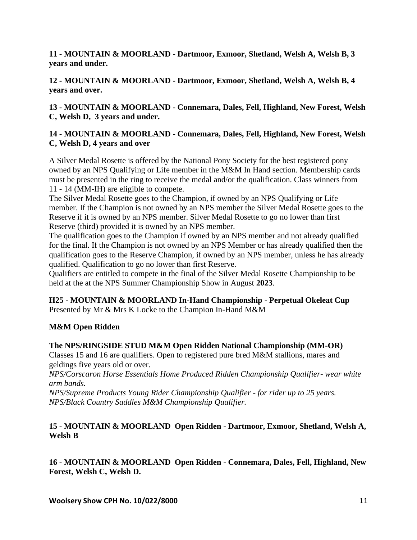**11 - MOUNTAIN & MOORLAND - Dartmoor, Exmoor, Shetland, Welsh A, Welsh B, 3 years and under.**

**12 - MOUNTAIN & MOORLAND - Dartmoor, Exmoor, Shetland, Welsh A, Welsh B, 4 years and over.** 

**13 - MOUNTAIN & MOORLAND - Connemara, Dales, Fell, Highland, New Forest, Welsh C, Welsh D, 3 years and under.**

## **14 - MOUNTAIN & MOORLAND - Connemara, Dales, Fell, Highland, New Forest, Welsh C, Welsh D, 4 years and over**

A Silver Medal Rosette is offered by the National Pony Society for the best registered pony owned by an NPS Qualifying or Life member in the M&M In Hand section. Membership cards must be presented in the ring to receive the medal and/or the qualification. Class winners from 11 - 14 (MM-IH) are eligible to compete.

The Silver Medal Rosette goes to the Champion, if owned by an NPS Qualifying or Life member. If the Champion is not owned by an NPS member the Silver Medal Rosette goes to the Reserve if it is owned by an NPS member. Silver Medal Rosette to go no lower than first Reserve (third) provided it is owned by an NPS member.

The qualification goes to the Champion if owned by an NPS member and not already qualified for the final. If the Champion is not owned by an NPS Member or has already qualified then the qualification goes to the Reserve Champion, if owned by an NPS member, unless he has already qualified. Qualification to go no lower than first Reserve.

Qualifiers are entitled to compete in the final of the Silver Medal Rosette Championship to be held at the at the NPS Summer Championship Show in August **2023**.

## **H25 - MOUNTAIN & MOORLAND In-Hand Championship - Perpetual Okeleat Cup**  Presented by Mr & Mrs K Locke to the Champion In-Hand M&M

## **M&M Open Ridden**

## **The NPS/RINGSIDE STUD M&M Open Ridden National Championship (MM-OR)**

Classes 15 and 16 are qualifiers. Open to registered pure bred M&M stallions, mares and geldings five years old or over.

*NPS/Corscaron Horse Essentials Home Produced Ridden Championship Qualifier- wear white arm bands.* 

*NPS/Supreme Products Young Rider Championship Qualifier - for rider up to 25 years. NPS/Black Country Saddles M&M Championship Qualifier.*

## **15 - MOUNTAIN & MOORLAND Open Ridden - Dartmoor, Exmoor, Shetland, Welsh A, Welsh B**

**16 - MOUNTAIN & MOORLAND Open Ridden - Connemara, Dales, Fell, Highland, New Forest, Welsh C, Welsh D.**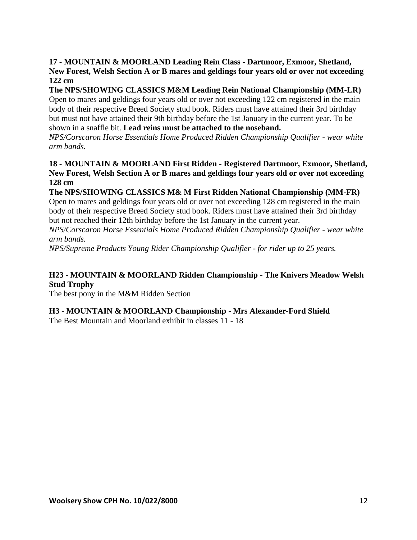**17 - MOUNTAIN & MOORLAND Leading Rein Class - Dartmoor, Exmoor, Shetland, New Forest, Welsh Section A or B mares and geldings four years old or over not exceeding 122 cm** 

## **The NPS/SHOWING CLASSICS M&M Leading Rein National Championship (MM-LR)**

Open to mares and geldings four years old or over not exceeding 122 cm registered in the main body of their respective Breed Society stud book. Riders must have attained their 3rd birthday but must not have attained their 9th birthday before the 1st January in the current year. To be shown in a snaffle bit. **Lead reins must be attached to the noseband.**

*NPS/Corscaron Horse Essentials Home Produced Ridden Championship Qualifier - wear white arm bands.* 

## **18 - MOUNTAIN & MOORLAND First Ridden - Registered Dartmoor, Exmoor, Shetland, New Forest, Welsh Section A or B mares and geldings four years old or over not exceeding 128 cm**

#### **The NPS/SHOWING CLASSICS M& M First Ridden National Championship (MM-FR)**  Open to mares and geldings four years old or over not exceeding 128 cm registered in the main body of their respective Breed Society stud book. Riders must have attained their 3rd birthday

but not reached their 12th birthday before the 1st January in the current year.

*NPS/Corscaron Horse Essentials Home Produced Ridden Championship Qualifier - wear white arm bands.* 

*NPS/Supreme Products Young Rider Championship Qualifier - for rider up to 25 years.*

## **H23 - MOUNTAIN & MOORLAND Ridden Championship - The Knivers Meadow Welsh Stud Trophy**

The best pony in the M&M Ridden Section

## **H3 - MOUNTAIN & MOORLAND Championship - Mrs Alexander-Ford Shield**

The Best Mountain and Moorland exhibit in classes 11 - 18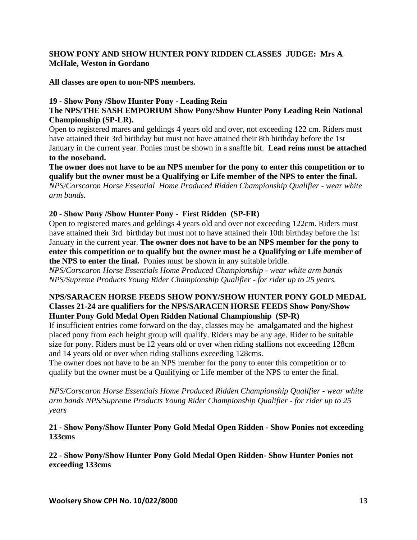## **SHOW PONY AND SHOW HUNTER PONY RIDDEN CLASSES JUDGE: Mrs A McHale, Weston in Gordano**

**All classes are open to non-NPS members.**

## **19 - Show Pony /Show Hunter Pony - Leading Rein**

#### **The NPS/THE SASH EMPORIUM Show Pony/Show Hunter Pony Leading Rein National Championship (SP-LR).**

Open to registered mares and geldings 4 years old and over, not exceeding 122 cm. Riders must have attained their 3rd birthday but must not have attained their 8th birthday before the 1st January in the current year. Ponies must be shown in a snaffle bit. **Lead reins must be attached to the noseband.**

**The owner does not have to be an NPS member for the pony to enter this competition or to qualify but the owner must be a Qualifying or Life member of the NPS to enter the final.** *NPS/Corscaron Horse Essential Home Produced Ridden Championship Qualifier - wear white arm bands.*

## **20 - Show Pony /Show Hunter Pony - First Ridden (SP-FR)**

Open to registered mares and geldings 4 years old and over not exceeding 122cm. Riders must have attained their 3rd birthday but must not to have attained their 10th birthday before the 1st January in the current year. **The owner does not have to be an NPS member for the pony to enter this competition or to qualify but the owner must be a Qualifying or Life member of the NPS to enter the final.** Ponies must be shown in any suitable bridle.

*NPS/Corscaron Horse Essentials Home Produced Championship - wear white arm bands NPS/Supreme Products Young Rider Championship Qualifier - for rider up to 25 years.*

#### **NPS/SARACEN HORSE FEEDS SHOW PONY/SHOW HUNTER PONY GOLD MEDAL Classes 21-24 are qualifiers for the NPS/SARACEN HORSE FEEDS Show Pony/Show Hunter Pony Gold Medal Open Ridden National Championship (SP-R)**

If insufficient entries come forward on the day, classes may be amalgamated and the highest placed pony from each height group will qualify. Riders may be any age. Rider to be suitable size for pony. Riders must be 12 years old or over when riding stallions not exceeding 128cm and 14 years old or over when riding stallions exceeding 128cms.

The owner does not have to be an NPS member for the pony to enter this competition or to qualify but the owner must be a Qualifying or Life member of the NPS to enter the final.

*NPS/Corscaron Horse Essentials Home Produced Ridden Championship Qualifier - wear white arm bands NPS/Supreme Products Young Rider Championship Qualifier - for rider up to 25 years* 

## **21 - Show Pony/Show Hunter Pony Gold Medal Open Ridden - Show Ponies not exceeding 133cms**

**22 - Show Pony/Show Hunter Pony Gold Medal Open Ridden- Show Hunter Ponies not exceeding 133cms**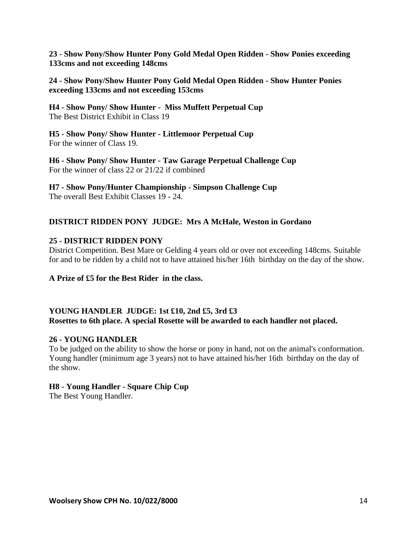**23 - Show Pony/Show Hunter Pony Gold Medal Open Ridden - Show Ponies exceeding 133cms and not exceeding 148cms**

**24 - Show Pony/Show Hunter Pony Gold Medal Open Ridden - Show Hunter Ponies exceeding 133cms and not exceeding 153cms** 

**H4 - Show Pony/ Show Hunter - Miss Muffett Perpetual Cup**  The Best District Exhibit in Class 19

**H5 - Show Pony/ Show Hunter - Littlemoor Perpetual Cup** For the winner of Class 19.

**H6 - Show Pony/ Show Hunter - Taw Garage Perpetual Challenge Cup**  For the winner of class 22 or 21/22 if combined

**H7 - Show Pony/Hunter Championship - Simpson Challenge Cup** The overall Best Exhibit Classes 19 - 24.

## **DISTRICT RIDDEN PONY JUDGE: Mrs A McHale, Weston in Gordano**

## **25 - DISTRICT RIDDEN PONY**

District Competition. Best Mare or Gelding 4 years old or over not exceeding 148cms. Suitable for and to be ridden by a child not to have attained his/her 16th birthday on the day of the show.

**A Prize of £5 for the Best Rider in the class.**

## **YOUNG HANDLER JUDGE: 1st £10, 2nd £5, 3rd £3 Rosettes to 6th place. A special Rosette will be awarded to each handler not placed.**

#### **26 - YOUNG HANDLER**

To be judged on the ability to show the horse or pony in hand, not on the animal's conformation. Young handler (minimum age 3 years) not to have attained his/her 16th birthday on the day of the show.

## **H8 - Young Handler - Square Chip Cup**

The Best Young Handler.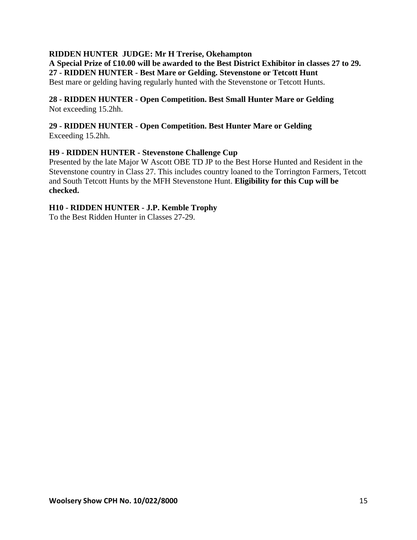#### **RIDDEN HUNTER JUDGE: Mr H Trerise, Okehampton**

**A Special Prize of £10.00 will be awarded to the Best District Exhibitor in classes 27 to 29. 27 - RIDDEN HUNTER - Best Mare or Gelding. Stevenstone or Tetcott Hunt** Best mare or gelding having regularly hunted with the Stevenstone or Tetcott Hunts.

## **28 - RIDDEN HUNTER - Open Competition. Best Small Hunter Mare or Gelding**  Not exceeding 15.2hh.

#### **29 - RIDDEN HUNTER - Open Competition. Best Hunter Mare or Gelding**  Exceeding 15.2hh.

## **H9 - RIDDEN HUNTER - Stevenstone Challenge Cup**

Presented by the late Major W Ascott OBE TD JP to the Best Horse Hunted and Resident in the Stevenstone country in Class 27. This includes country loaned to the Torrington Farmers, Tetcott and South Tetcott Hunts by the MFH Stevenstone Hunt. **Eligibility for this Cup will be checked.**

## **H10 - RIDDEN HUNTER - J.P. Kemble Trophy**

To the Best Ridden Hunter in Classes 27-29.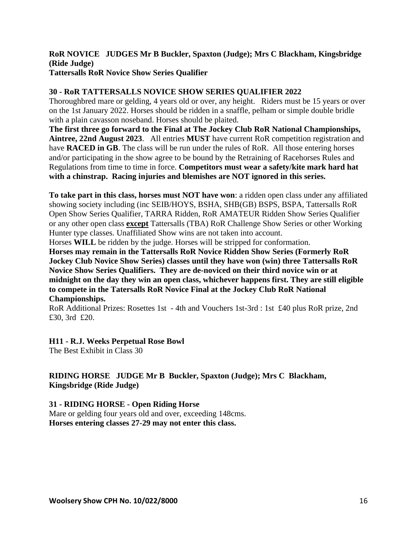#### **RoR NOVICE JUDGES Mr B Buckler, Spaxton (Judge); Mrs C Blackham, Kingsbridge (Ride Judge) Tattersalls RoR Novice Show Series Qualifier**

## **30 - RoR TATTERSALLS NOVICE SHOW SERIES QUALIFIER 2022**

Thoroughbred mare or gelding, 4 years old or over, any height. Riders must be 15 years or over on the 1st January 2022. Horses should be ridden in a snaffle, pelham or simple double bridle with a plain cavasson noseband. Horses should be plaited.

**The first three go forward to the Final at The Jockey Club RoR National Championships, Aintree, 22nd August 2023**. All entries **MUST** have current RoR competition registration and have **RACED in GB**. The class will be run under the rules of RoR. All those entering horses and/or participating in the show agree to be bound by the Retraining of Racehorses Rules and Regulations from time to time in force. **Competitors must wear a safety/kite mark hard hat with a chinstrap. Racing injuries and blemishes are NOT ignored in this series.**

**To take part in this class, horses must NOT have won**: a ridden open class under any affiliated showing society including (inc SEIB/HOYS, BSHA, SHB(GB) BSPS, BSPA, Tattersalls RoR Open Show Series Qualifier, TARRA Ridden, RoR AMATEUR Ridden Show Series Qualifier or any other open class **except** Tattersalls (TBA) RoR Challenge Show Series or other Working Hunter type classes. Unaffiliated Show wins are not taken into account.

Horses **WILL** be ridden by the judge. Horses will be stripped for conformation.

**Horses may remain in the Tattersalls RoR Novice Ridden Show Series (Formerly RoR Jockey Club Novice Show Series) classes until they have won (win) three Tattersalls RoR Novice Show Series Qualifiers. They are de-noviced on their third novice win or at midnight on the day they win an open class, whichever happens first. They are still eligible to compete in the Tatersalls RoR Novice Final at the Jockey Club RoR National Championships.**

RoR Additional Prizes: Rosettes 1st - 4th and Vouchers 1st-3rd : 1st £40 plus RoR prize, 2nd £30, 3rd £20.

**H11 - R.J. Weeks Perpetual Rose Bowl**

The Best Exhibit in Class 30

**RIDING HORSE JUDGE Mr B Buckler, Spaxton (Judge); Mrs C Blackham, Kingsbridge (Ride Judge)**

#### **31 - RIDING HORSE - Open Riding Horse**

Mare or gelding four years old and over, exceeding 148cms. **Horses entering classes 27-29 may not enter this class.**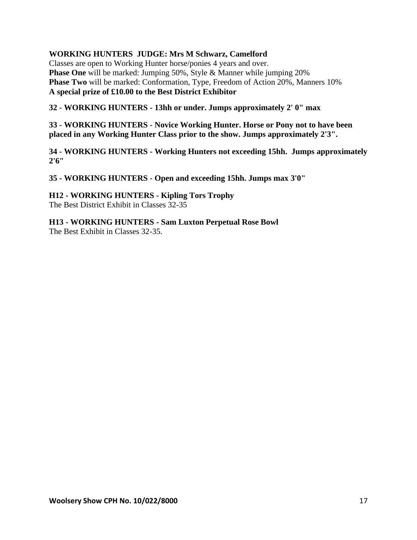## **WORKING HUNTERS JUDGE: Mrs M Schwarz, Camelford**

Classes are open to Working Hunter horse/ponies 4 years and over. **Phase One** will be marked: Jumping 50%, Style & Manner while jumping 20% **Phase Two** will be marked: Conformation, Type, Freedom of Action 20%, Manners 10% **A special prize of £10.00 to the Best District Exhibitor** 

## **32 - WORKING HUNTERS - 13hh or under. Jumps approximately 2' 0" max**

**33 - WORKING HUNTERS - Novice Working Hunter. Horse or Pony not to have been placed in any Working Hunter Class prior to the show. Jumps approximately 2'3".**

**34 - WORKING HUNTERS - Working Hunters not exceeding 15hh. Jumps approximately 2'6"**

**35 - WORKING HUNTERS - Open and exceeding 15hh. Jumps max 3'0"**

**H12 - WORKING HUNTERS - Kipling Tors Trophy** The Best District Exhibit in Classes 32-35

**H13 - WORKING HUNTERS - Sam Luxton Perpetual Rose Bowl** The Best Exhibit in Classes 32-35.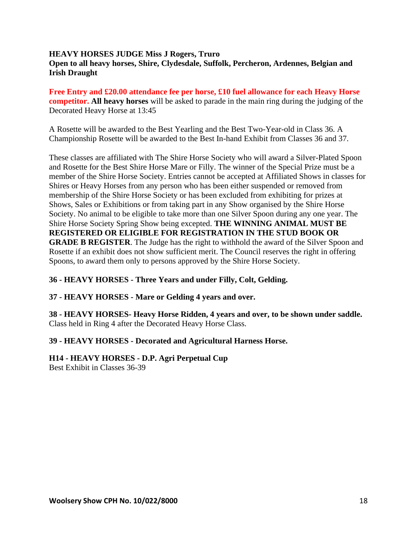#### **HEAVY HORSES JUDGE Miss J Rogers, Truro Open to all heavy horses, Shire, Clydesdale, Suffolk, Percheron, Ardennes, Belgian and Irish Draught**

**Free Entry and £20.00 attendance fee per horse, £10 fuel allowance for each Heavy Horse competitor. All heavy horses** will be asked to parade in the main ring during the judging of the Decorated Heavy Horse at 13:45

A Rosette will be awarded to the Best Yearling and the Best Two-Year-old in Class 36. A Championship Rosette will be awarded to the Best In-hand Exhibit from Classes 36 and 37.

These classes are affiliated with The Shire Horse Society who will award a Silver-Plated Spoon and Rosette for the Best Shire Horse Mare or Filly. The winner of the Special Prize must be a member of the Shire Horse Society. Entries cannot be accepted at Affiliated Shows in classes for Shires or Heavy Horses from any person who has been either suspended or removed from membership of the Shire Horse Society or has been excluded from exhibiting for prizes at Shows, Sales or Exhibitions or from taking part in any Show organised by the Shire Horse Society. No animal to be eligible to take more than one Silver Spoon during any one year. The Shire Horse Society Spring Show being excepted. **THE WINNING ANIMAL MUST BE REGISTERED OR ELIGIBLE FOR REGISTRATION IN THE STUD BOOK OR GRADE B REGISTER**. The Judge has the right to withhold the award of the Silver Spoon and Rosette if an exhibit does not show sufficient merit. The Council reserves the right in offering Spoons, to award them only to persons approved by the Shire Horse Society.

## **36 - HEAVY HORSES - Three Years and under Filly, Colt, Gelding.**

#### **37 - HEAVY HORSES - Mare or Gelding 4 years and over.**

**38 - HEAVY HORSES- Heavy Horse Ridden, 4 years and over, to be shown under saddle.**  Class held in Ring 4 after the Decorated Heavy Horse Class.

#### **39 - HEAVY HORSES - Decorated and Agricultural Harness Horse.**

## **H14 - HEAVY HORSES - D.P. Agri Perpetual Cup**

Best Exhibit in Classes 36-39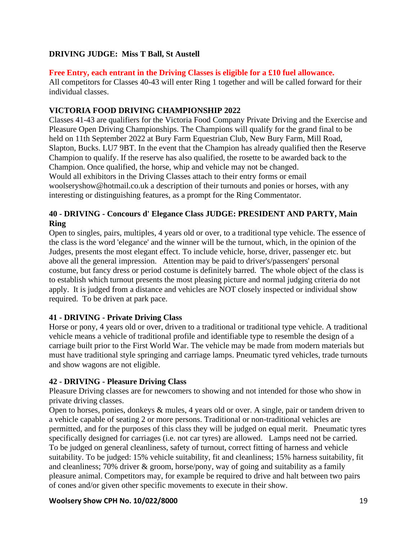## **DRIVING JUDGE: Miss T Ball, St Austell**

## **Free Entry, each entrant in the Driving Classes is eligible for a £10 fuel allowance.**

All competitors for Classes 40-43 will enter Ring 1 together and will be called forward for their individual classes.

## **VICTORIA FOOD DRIVING CHAMPIONSHIP 2022**

Classes 41-43 are qualifiers for the Victoria Food Company Private Driving and the Exercise and Pleasure Open Driving Championships. The Champions will qualify for the grand final to be held on 11th September 2022 at Bury Farm Equestrian Club, New Bury Farm, Mill Road, Slapton, Bucks. LU7 9BT. In the event that the Champion has already qualified then the Reserve Champion to qualify. If the reserve has also qualified, the rosette to be awarded back to the Champion. Once qualified, the horse, whip and vehicle may not be changed. Would all exhibitors in the Driving Classes attach to their entry forms or email woolseryshow@hotmail.co.uk a description of their turnouts and ponies or horses, with any interesting or distinguishing features, as a prompt for the Ring Commentator.

## **40 - DRIVING - Concours d' Elegance Class JUDGE: PRESIDENT AND PARTY, Main Ring**

Open to singles, pairs, multiples, 4 years old or over, to a traditional type vehicle. The essence of the class is the word 'elegance' and the winner will be the turnout, which, in the opinion of the Judges, presents the most elegant effect. To include vehicle, horse, driver, passenger etc. but above all the general impression. Attention may be paid to driver's/passengers' personal costume, but fancy dress or period costume is definitely barred. The whole object of the class is to establish which turnout presents the most pleasing picture and normal judging criteria do not apply. It is judged from a distance and vehicles are NOT closely inspected or individual show required. To be driven at park pace.

## **41 - DRIVING - Private Driving Class**

Horse or pony, 4 years old or over, driven to a traditional or traditional type vehicle. A traditional vehicle means a vehicle of traditional profile and identifiable type to resemble the design of a carriage built prior to the First World War. The vehicle may be made from modern materials but must have traditional style springing and carriage lamps. Pneumatic tyred vehicles, trade turnouts and show wagons are not eligible.

## **42 - DRIVING - Pleasure Driving Class**

Pleasure Driving classes are for newcomers to showing and not intended for those who show in private driving classes.

Open to horses, ponies, donkeys & mules, 4 years old or over. A single, pair or tandem driven to a vehicle capable of seating 2 or more persons. Traditional or non-traditional vehicles are permitted, and for the purposes of this class they will be judged on equal merit. Pneumatic tyres specifically designed for carriages (i.e. not car tyres) are allowed. Lamps need not be carried. To be judged on general cleanliness, safety of turnout, correct fitting of harness and vehicle suitability. To be judged: 15% vehicle suitability, fit and cleanliness; 15% harness suitability, fit and cleanliness; 70% driver & groom, horse/pony, way of going and suitability as a family pleasure animal. Competitors may, for example be required to drive and halt between two pairs of cones and/or given other specific movements to execute in their show.

## **Woolsery Show CPH No. 10/022/8000** 19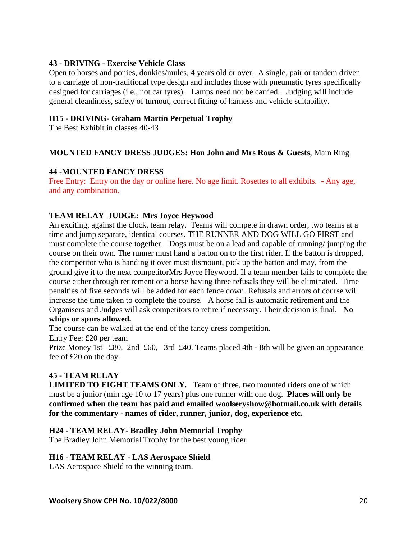## **43 - DRIVING - Exercise Vehicle Class**

Open to horses and ponies, donkies/mules, 4 years old or over. A single, pair or tandem driven to a carriage of non-traditional type design and includes those with pneumatic tyres specifically designed for carriages (i.e., not car tyres). Lamps need not be carried. Judging will include general cleanliness, safety of turnout, correct fitting of harness and vehicle suitability.

#### **H15 - DRIVING- Graham Martin Perpetual Trophy**

The Best Exhibit in classes 40-43

#### **MOUNTED FANCY DRESS JUDGES: Hon John and Mrs Rous & Guests**, Main Ring

#### **44 -MOUNTED FANCY DRESS**

Free Entry: Entry on the day or online here. No age limit. Rosettes to all exhibits. - Any age, and any combination.

#### **TEAM RELAY JUDGE: Mrs Joyce Heywood**

An exciting, against the clock, team relay. Teams will compete in drawn order, two teams at a time and jump separate, identical courses. THE RUNNER AND DOG WILL GO FIRST and must complete the course together. Dogs must be on a lead and capable of running/ jumping the course on their own. The runner must hand a batton on to the first rider. If the batton is dropped, the competitor who is handing it over must dismount, pick up the batton and may, from the ground give it to the next competitorMrs Joyce Heywood. If a team member fails to complete the course either through retirement or a horse having three refusals they will be eliminated. Time penalties of five seconds will be added for each fence down. Refusals and errors of course will increase the time taken to complete the course. A horse fall is automatic retirement and the Organisers and Judges will ask competitors to retire if necessary. Their decision is final. **No whips or spurs allowed.**

The course can be walked at the end of the fancy dress competition.

Entry Fee: £20 per team

Prize Money 1st £80, 2nd £60, 3rd £40. Teams placed 4th - 8th will be given an appearance fee of £20 on the day.

#### **45 - TEAM RELAY**

**LIMITED TO EIGHT TEAMS ONLY.** Team of three, two mounted riders one of which must be a junior (min age 10 to 17 years) plus one runner with one dog. **Places will only be confirmed when the team has paid and emailed woolseryshow@hotmail.co.uk with details for the commentary - names of rider, runner, junior, dog, experience etc.**

#### **H24 - TEAM RELAY- Bradley John Memorial Trophy**

The Bradley John Memorial Trophy for the best young rider

#### **H16 - TEAM RELAY - LAS Aerospace Shield**

LAS Aerospace Shield to the winning team.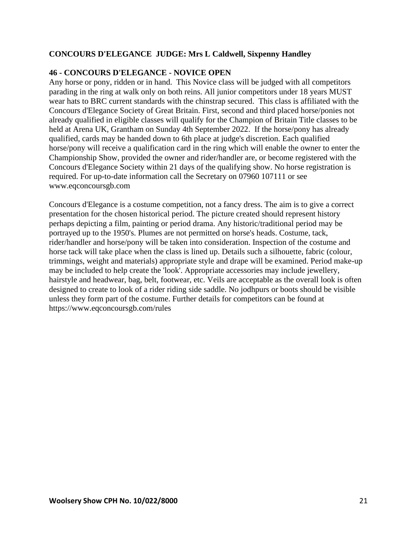## **CONCOURS D'ELEGANCE JUDGE: Mrs L Caldwell, Sixpenny Handley**

## **46 - CONCOURS D'ELEGANCE - NOVICE OPEN**

Any horse or pony, ridden or in hand. This Novice class will be judged with all competitors parading in the ring at walk only on both reins. All junior competitors under 18 years MUST wear hats to BRC current standards with the chinstrap secured. This class is affiliated with the Concours d'Elegance Society of Great Britain. First, second and third placed horse/ponies not already qualified in eligible classes will qualify for the Champion of Britain Title classes to be held at Arena UK, Grantham on Sunday 4th September 2022. If the horse/pony has already qualified, cards may be handed down to 6th place at judge's discretion. Each qualified horse/pony will receive a qualification card in the ring which will enable the owner to enter the Championship Show, provided the owner and rider/handler are, or become registered with the Concours d'Elegance Society within 21 days of the qualifying show. No horse registration is required. For up-to-date information call the Secretary on 07960 107111 or see [www.eqconcoursgb.com](file:///C:/Users/demo/Downloads/www.eqconcoursgb.com)

Concours d'Elegance is a costume competition, not a fancy dress. The aim is to give a correct presentation for the chosen historical period. The picture created should represent history perhaps depicting a film, painting or period drama. Any historic/traditional period may be portrayed up to the 1950's. Plumes are not permitted on horse's heads. Costume, tack, rider/handler and horse/pony will be taken into consideration. Inspection of the costume and horse tack will take place when the class is lined up. Details such a silhouette, fabric (colour, trimmings, weight and materials) appropriate style and drape will be examined. Period make-up may be included to help create the 'look'. Appropriate accessories may include jewellery, hairstyle and headwear, bag, belt, footwear, etc. Veils are acceptable as the overall look is often designed to create to look of a rider riding side saddle. No jodhpurs or boots should be visible unless they form part of the costume. Further details for competitors can be found at <https://www.eqconcoursgb.com/rules>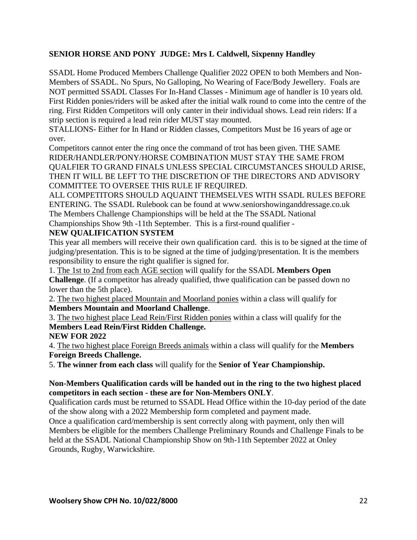## **SENIOR HORSE AND PONY JUDGE: Mrs L Caldwell, Sixpenny Handley**

SSADL Home Produced Members Challenge Qualifier 2022 OPEN to both Members and Non-Members of SSADL. No Spurs, No Galloping, No Wearing of Face/Body Jewellery. Foals are NOT permitted SSADL Classes For In-Hand Classes - Minimum age of handler is 10 years old. First Ridden ponies/riders will be asked after the initial walk round to come into the centre of the ring. First Ridden Competitors will only canter in their individual shows. Lead rein riders: If a strip section is required a lead rein rider MUST stay mounted.

STALLIONS- Either for In Hand or Ridden classes, Competitors Must be 16 years of age or over.

Competitors cannot enter the ring once the command of trot has been given. THE SAME RIDER/HANDLER/PONY/HORSE COMBINATION MUST STAY THE SAME FROM QUALFIER TO GRAND FINALS UNLESS SPECIAL CIRCUMSTANCES SHOULD ARISE, THEN IT WILL BE LEFT TO THE DISCRETION OF THE DIRECTORS AND ADVISORY COMMITTEE TO OVERSEE THIS RULE IF REQUIRED.

ALL COMPETITORS SHOULD AQUAINT THEMSELVES WITH SSADL RULES BEFORE ENTERING. The SSADL Rulebook can be found at [www.seniorshowinganddressage.co.uk](file:///C:/Users/demo/Downloads/www.seniorshowinganddressage.co.uk) The Members Challenge Championships will be held at the The SSADL National Championships Show 9th -11th September. This is a first-round qualifier -

## **NEW QUALIFICATION SYSTEM**

This year all members will receive their own qualification card. this is to be signed at the time of judging/presentation. This is to be signed at the time of judging/presentation. It is the members responsibility to ensure the right qualifier is signed for.

1. The 1st to 2nd from each AGE section will qualify for the SSADL **Members Open Challenge**. (If a competitor has already qualified, thwe qualification can be passed down no lower than the 5th place).

2. The two highest placed Mountain and Moorland ponies within a class will qualify for **Members Mountain and Moorland Challenge**.

3. The two highest place Lead Rein/First Ridden ponies within a class will qualify for the **Members Lead Rein/First Ridden Challenge.**

**NEW FOR 2022**

4. The two highest place Foreign Breeds animals within a class will qualify for the **Members Foreign Breeds Challenge.**

5. **The winner from each class** will qualify for the **Senior of Year Championship.**

## **Non-Members Qualification cards will be handed out in the ring to the two highest placed competitors in each section - these are for Non-Members ONLY**.

Qualification cards must be returned to SSADL Head Office within the 10-day period of the date of the show along with a 2022 Membership form completed and payment made.

Once a qualification card/membership is sent correctly along with payment, only then will Members be eligible for the members Challenge Preliminary Rounds and Challenge Finals to be held at the SSADL National Championship Show on 9th-11th September 2022 at Onley Grounds, Rugby, Warwickshire.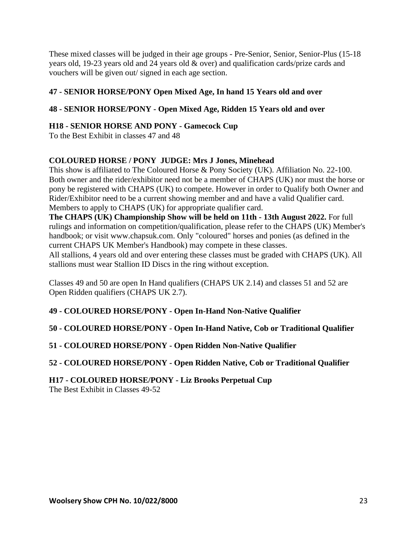These mixed classes will be judged in their age groups - Pre-Senior, Senior, Senior-Plus (15-18 years old, 19-23 years old and 24 years old & over) and qualification cards/prize cards and vouchers will be given out/ signed in each age section.

## **47 - SENIOR HORSE/PONY Open Mixed Age, In hand 15 Years old and over**

## **48 - SENIOR HORSE/PONY - Open Mixed Age, Ridden 15 Years old and over**

## **H18 - SENIOR HORSE AND PONY - Gamecock Cup**

To the Best Exhibit in classes 47 and 48

## **COLOURED HORSE / PONY JUDGE: Mrs J Jones, Minehead**

This show is affiliated to The Coloured Horse & Pony Society (UK). Affiliation No. 22-100. Both owner and the rider/exhibitor need not be a member of CHAPS (UK) nor must the horse or pony be registered with CHAPS (UK) to compete. However in order to Qualify both Owner and Rider/Exhibitor need to be a current showing member and and have a valid Qualifier card. Members to apply to CHAPS (UK) for appropriate qualifier card.

**The CHAPS (UK) Championship Show will be held on 11th - 13th August 2022.** For full rulings and information on competition/qualification, please refer to the CHAPS (UK) Member's handbook; or visit [www.chapsuk.com.](file:///C:/Users/demo/Downloads/www.chapsuk.com) Only "coloured" horses and ponies (as defined in the current CHAPS UK Member's Handbook) may compete in these classes.

All stallions, 4 years old and over entering these classes must be graded with CHAPS (UK). All stallions must wear Stallion ID Discs in the ring without exception.

Classes 49 and 50 are open In Hand qualifiers (CHAPS UK 2.14) and classes 51 and 52 are Open Ridden qualifiers (CHAPS UK 2.7).

## **49 - COLOURED HORSE/PONY - Open In-Hand Non-Native Qualifier**

**50 - COLOURED HORSE/PONY - Open In-Hand Native, Cob or Traditional Qualifier**

**51 - COLOURED HORSE/PONY - Open Ridden Non-Native Qualifier**

**52 - COLOURED HORSE/PONY - Open Ridden Native, Cob or Traditional Qualifier**

#### **H17 - COLOURED HORSE/PONY - Liz Brooks Perpetual Cup** The Best Exhibit in Classes 49-52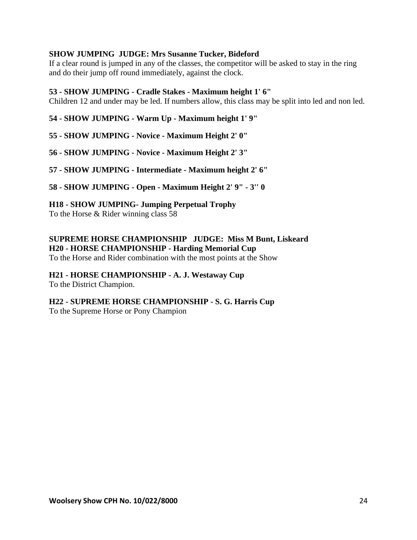## **SHOW JUMPING JUDGE: Mrs Susanne Tucker, Bideford**

If a clear round is jumped in any of the classes, the competitor will be asked to stay in the ring and do their jump off round immediately, against the clock.

#### **53 - SHOW JUMPING - Cradle Stakes - Maximum height 1' 6"**

Children 12 and under may be led. If numbers allow, this class may be split into led and non led.

**54 - SHOW JUMPING - Warm Up - Maximum height 1' 9"**

**55 - SHOW JUMPING - Novice - Maximum Height 2' 0"**

**56 - SHOW JUMPING - Novice - Maximum Height 2' 3"**

**57 - SHOW JUMPING - Intermediate - Maximum height 2' 6"**

**58 - SHOW JUMPING - Open - Maximum Height 2' 9" - 3'' 0**

**H18 - SHOW JUMPING- Jumping Perpetual Trophy**

To the Horse & Rider winning class 58

**SUPREME HORSE CHAMPIONSHIP JUDGE: Miss M Bunt, Liskeard H20 - HORSE CHAMPIONSHIP - Harding Memorial Cup**

To the Horse and Rider combination with the most points at the Show

**H21 - HORSE CHAMPIONSHIP - A. J. Westaway Cup** To the District Champion.

**H22 - SUPREME HORSE CHAMPIONSHIP - S. G. Harris Cup** To the Supreme Horse or Pony Champion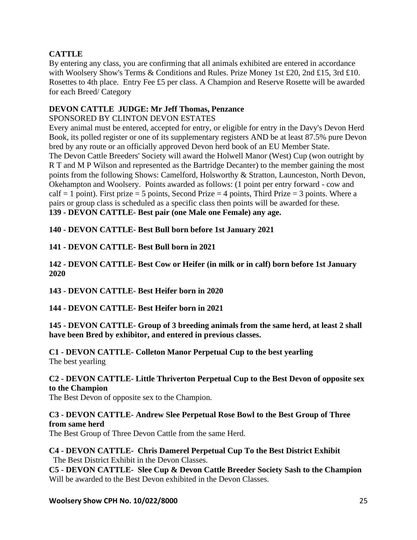## **CATTLE**

By entering any class, you are confirming that all animals exhibited are entered in accordance with Woolsery Show's Terms & Conditions and Rules. Prize Money 1st £20, 2nd £15, 3rd £10. Rosettes to 4th place. Entry Fee £5 per class. A Champion and Reserve Rosette will be awarded for each Breed/ Category

## **DEVON CATTLE JUDGE: Mr Jeff Thomas, Penzance**

SPONSORED BY CLINTON DEVON ESTATES

Every animal must be entered, accepted for entry, or eligible for entry in the Davy's Devon Herd Book, its polled register or one of its supplementary registers AND be at least 87.5% pure Devon bred by any route or an officially approved Devon herd book of an EU Member State. The Devon Cattle Breeders' Society will award the Holwell Manor (West) Cup (won outright by R T and M P Wilson and represented as the Bartridge Decanter) to the member gaining the most points from the following Shows: Camelford, Holsworthy & Stratton, Launceston, North Devon, Okehampton and Woolsery. Points awarded as follows: (1 point per entry forward - cow and  $\text{calf} = 1 \text{ point}$ ). First prize = 5 points, Second Prize = 4 points, Third Prize = 3 points. Where a pairs or group class is scheduled as a specific class then points will be awarded for these. **139 - DEVON CATTLE- Best pair (one Male one Female) any age.**

## **140 - DEVON CATTLE- Best Bull born before 1st January 2021**

## **141 - DEVON CATTLE- Best Bull born in 2021**

**142 - DEVON CATTLE- Best Cow or Heifer (in milk or in calf) born before 1st January 2020**

**143 - DEVON CATTLE- Best Heifer born in 2020**

**144 - DEVON CATTLE- Best Heifer born in 2021** 

**145 - DEVON CATTLE- Group of 3 breeding animals from the same herd, at least 2 shall have been Bred by exhibitor, and entered in previous classes.** 

**C1 - DEVON CATTLE- Colleton Manor Perpetual Cup to the best yearling** The best yearling

## **C2 - DEVON CATTLE- Little Thriverton Perpetual Cup to the Best Devon of opposite sex to the Champion**

The Best Devon of opposite sex to the Champion.

## **C3 - DEVON CATTLE- Andrew Slee Perpetual Rose Bowl to the Best Group of Three from same herd**

The Best Group of Three Devon Cattle from the same Herd.

## **C4 - DEVON CATTLE- Chris Damerel Perpetual Cup To the Best District Exhibit** The Best District Exhibit in the Devon Classes.

**C5 - DEVON CATTLE- Slee Cup & Devon Cattle Breeder Society Sash to the Champion**  Will be awarded to the Best Devon exhibited in the Devon Classes.

## **Woolsery Show CPH No. 10/022/8000** 25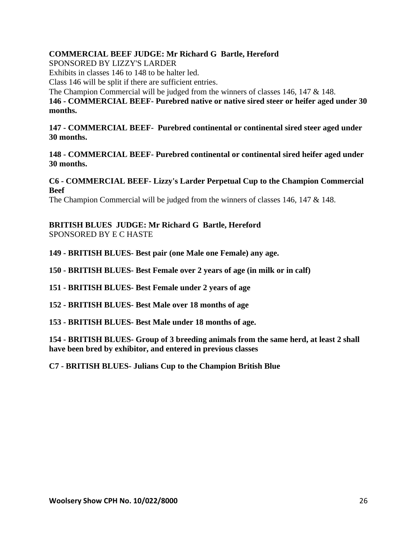## **COMMERCIAL BEEF JUDGE: Mr Richard G Bartle, Hereford**

SPONSORED BY LIZZY'S LARDER

Exhibits in classes 146 to 148 to be halter led.

Class 146 will be split if there are sufficient entries.

The Champion Commercial will be judged from the winners of classes 146, 147 & 148.

**146 - COMMERCIAL BEEF- Purebred native or native sired steer or heifer aged under 30 months.** 

**147 - COMMERCIAL BEEF- Purebred continental or continental sired steer aged under 30 months.** 

**148 - COMMERCIAL BEEF- Purebred continental or continental sired heifer aged under 30 months.** 

**C6 - COMMERCIAL BEEF- Lizzy's Larder Perpetual Cup to the Champion Commercial Beef**

The Champion Commercial will be judged from the winners of classes 146, 147 & 148.

**BRITISH BLUES JUDGE: Mr Richard G Bartle, Hereford** SPONSORED BY E C HASTE

**149 - BRITISH BLUES- Best pair (one Male one Female) any age.** 

**150 - BRITISH BLUES- Best Female over 2 years of age (in milk or in calf)** 

**151 - BRITISH BLUES- Best Female under 2 years of age** 

**152 - BRITISH BLUES- Best Male over 18 months of age** 

**153 - BRITISH BLUES- Best Male under 18 months of age.** 

**154 - BRITISH BLUES- Group of 3 breeding animals from the same herd, at least 2 shall have been bred by exhibitor, and entered in previous classes** 

**C7 - BRITISH BLUES- Julians Cup to the Champion British Blue**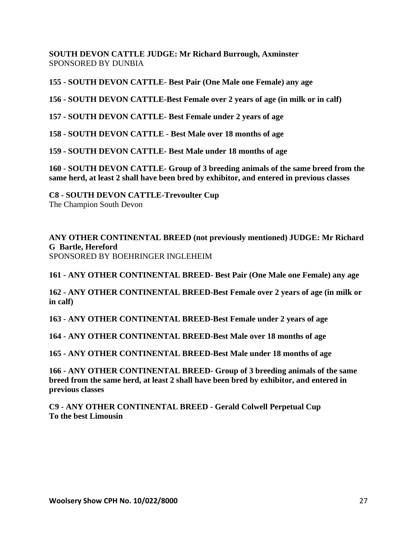**SOUTH DEVON CATTLE JUDGE: Mr Richard Burrough, Axminster** SPONSORED BY DUNBIA

**155 - SOUTH DEVON CATTLE- Best Pair (One Male one Female) any age**

**156 - SOUTH DEVON CATTLE-Best Female over 2 years of age (in milk or in calf)**

**157 - SOUTH DEVON CATTLE- Best Female under 2 years of age**

**158 - SOUTH DEVON CATTLE - Best Male over 18 months of age**

**159 - SOUTH DEVON CATTLE- Best Male under 18 months of age**

**160 - SOUTH DEVON CATTLE- Group of 3 breeding animals of the same breed from the same herd, at least 2 shall have been bred by exhibitor, and entered in previous classes**

**C8 - SOUTH DEVON CATTLE-Trevoulter Cup**  The Champion South Devon

**ANY OTHER CONTINENTAL BREED (not previously mentioned) JUDGE: Mr Richard G Bartle, Hereford** SPONSORED BY BOEHRINGER INGLEHEIM

**161 - ANY OTHER CONTINENTAL BREED- Best Pair (One Male one Female) any age**

**162 - ANY OTHER CONTINENTAL BREED-Best Female over 2 years of age (in milk or in calf)**

**163 - ANY OTHER CONTINENTAL BREED-Best Female under 2 years of age**

**164 - ANY OTHER CONTINENTAL BREED-Best Male over 18 months of age**

**165 - ANY OTHER CONTINENTAL BREED-Best Male under 18 months of age**

**166 - ANY OTHER CONTINENTAL BREED- Group of 3 breeding animals of the same breed from the same herd, at least 2 shall have been bred by exhibitor, and entered in previous classes**

**C9 - ANY OTHER CONTINENTAL BREED - Gerald Colwell Perpetual Cup To the best Limousin**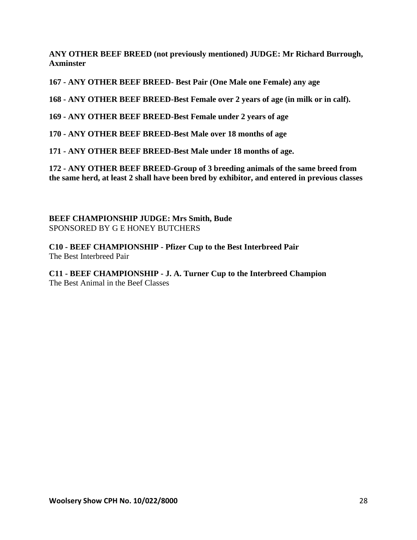**ANY OTHER BEEF BREED (not previously mentioned) JUDGE: Mr Richard Burrough, Axminster**

**167 - ANY OTHER BEEF BREED- Best Pair (One Male one Female) any age**

**168 - ANY OTHER BEEF BREED-Best Female over 2 years of age (in milk or in calf).**

**169 - ANY OTHER BEEF BREED-Best Female under 2 years of age**

**170 - ANY OTHER BEEF BREED-Best Male over 18 months of age**

**171 - ANY OTHER BEEF BREED-Best Male under 18 months of age.**

**172 - ANY OTHER BEEF BREED-Group of 3 breeding animals of the same breed from the same herd, at least 2 shall have been bred by exhibitor, and entered in previous classes**

**BEEF CHAMPIONSHIP JUDGE: Mrs Smith, Bude** SPONSORED BY G E HONEY BUTCHERS

**C10 - BEEF CHAMPIONSHIP - Pfizer Cup to the Best Interbreed Pair** The Best Interbreed Pair

**C11 - BEEF CHAMPIONSHIP - J. A. Turner Cup to the Interbreed Champion** The Best Animal in the Beef Classes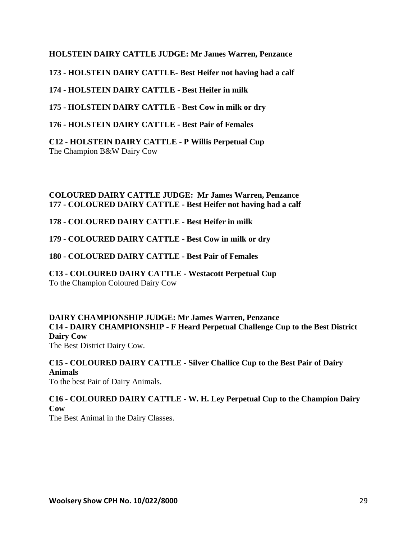## **HOLSTEIN DAIRY CATTLE JUDGE: Mr James Warren, Penzance**

**173 - HOLSTEIN DAIRY CATTLE- Best Heifer not having had a calf**

**174 - HOLSTEIN DAIRY CATTLE - Best Heifer in milk**

**175 - HOLSTEIN DAIRY CATTLE - Best Cow in milk or dry**

**176 - HOLSTEIN DAIRY CATTLE - Best Pair of Females**

**C12 - HOLSTEIN DAIRY CATTLE - P Willis Perpetual Cup** The Champion B&W Dairy Cow

## **COLOURED DAIRY CATTLE JUDGE: Mr James Warren, Penzance 177 - COLOURED DAIRY CATTLE - Best Heifer not having had a calf**

**178 - COLOURED DAIRY CATTLE - Best Heifer in milk**

**179 - COLOURED DAIRY CATTLE - Best Cow in milk or dry**

**180 - COLOURED DAIRY CATTLE - Best Pair of Females**

**C13 - COLOURED DAIRY CATTLE - Westacott Perpetual Cup**  To the Champion Coloured Dairy Cow

**DAIRY CHAMPIONSHIP JUDGE: Mr James Warren, Penzance C14 - DAIRY CHAMPIONSHIP - F Heard Perpetual Challenge Cup to the Best District Dairy Cow**

The Best District Dairy Cow.

**C15 - COLOURED DAIRY CATTLE - Silver Challice Cup to the Best Pair of Dairy Animals**

To the best Pair of Dairy Animals.

**C16 - COLOURED DAIRY CATTLE - W. H. Ley Perpetual Cup to the Champion Dairy Cow**

The Best Animal in the Dairy Classes.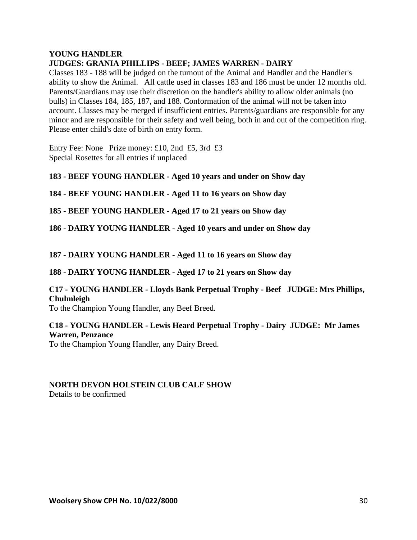#### **YOUNG HANDLER JUDGES: GRANIA PHILLIPS - BEEF; JAMES WARREN - DAIRY**

Classes 183 - 188 will be judged on the turnout of the Animal and Handler and the Handler's ability to show the Animal. All cattle used in classes 183 and 186 must be under 12 months old. Parents/Guardians may use their discretion on the handler's ability to allow older animals (no bulls) in Classes 184, 185, 187, and 188. Conformation of the animal will not be taken into account. Classes may be merged if insufficient entries. Parents/guardians are responsible for any minor and are responsible for their safety and well being, both in and out of the competition ring. Please enter child's date of birth on entry form.

Entry Fee: None Prize money: £10, 2nd £5, 3rd £3 Special Rosettes for all entries if unplaced

**183 - BEEF YOUNG HANDLER - Aged 10 years and under on Show day**

**184 - BEEF YOUNG HANDLER - Aged 11 to 16 years on Show day**

**185 - BEEF YOUNG HANDLER - Aged 17 to 21 years on Show day**

**186 - DAIRY YOUNG HANDLER - Aged 10 years and under on Show day**

**187 - DAIRY YOUNG HANDLER - Aged 11 to 16 years on Show day**

**188 - DAIRY YOUNG HANDLER - Aged 17 to 21 years on Show day**

## **C17 - YOUNG HANDLER - Lloyds Bank Perpetual Trophy - Beef JUDGE: Mrs Phillips, Chulmleigh**

To the Champion Young Handler, any Beef Breed.

## **C18 - YOUNG HANDLER - Lewis Heard Perpetual Trophy - Dairy JUDGE: Mr James Warren, Penzance**

To the Champion Young Handler, any Dairy Breed.

#### **NORTH DEVON HOLSTEIN CLUB CALF SHOW**  Details to be confirmed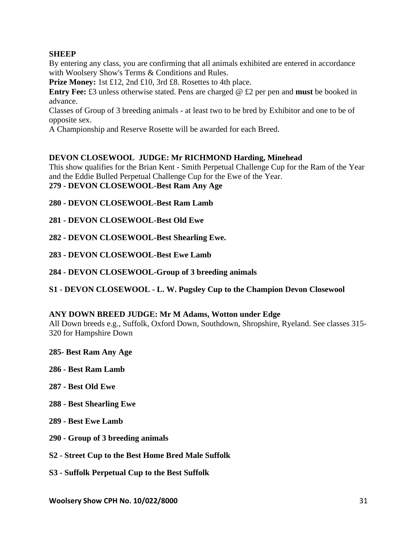## **SHEEP**

By entering any class, you are confirming that all animals exhibited are entered in accordance with Woolsery Show's Terms & Conditions and Rules.

Prize Money: 1st £12, 2nd £10, 3rd £8. Rosettes to 4th place.

**Entry Fee:** £3 unless otherwise stated. Pens are charged @ £2 per pen and **must** be booked in advance.

Classes of Group of 3 breeding animals - at least two to be bred by Exhibitor and one to be of opposite sex.

A Championship and Reserve Rosette will be awarded for each Breed.

## **DEVON CLOSEWOOL JUDGE: Mr RICHMOND Harding, Minehead**

This show qualifies for the Brian Kent - Smith Perpetual Challenge Cup for the Ram of the Year and the Eddie Bulled Perpetual Challenge Cup for the Ewe of the Year. **279 - DEVON CLOSEWOOL-Best Ram Any Age**

**280 - DEVON CLOSEWOOL-Best Ram Lamb**

**281 - DEVON CLOSEWOOL-Best Old Ewe**

**282 - DEVON CLOSEWOOL-Best Shearling Ewe.**

**283 - DEVON CLOSEWOOL-Best Ewe Lamb**

**284 - DEVON CLOSEWOOL-Group of 3 breeding animals**

**S1 - DEVON CLOSEWOOL - L. W. Pugsley Cup to the Champion Devon Closewool**

#### **ANY DOWN BREED JUDGE: Mr M Adams, Wotton under Edge**

All Down breeds e.g., Suffolk, Oxford Down, Southdown, Shropshire, Ryeland. See classes 315- 320 for Hampshire Down

**285- Best Ram Any Age**

- **286 - Best Ram Lamb**
- **287 - Best Old Ewe**
- **288 - Best Shearling Ewe**
- **289 - Best Ewe Lamb**
- **290 - Group of 3 breeding animals**
- **S2 - Street Cup to the Best Home Bred Male Suffolk**
- **S3 - Suffolk Perpetual Cup to the Best Suffolk**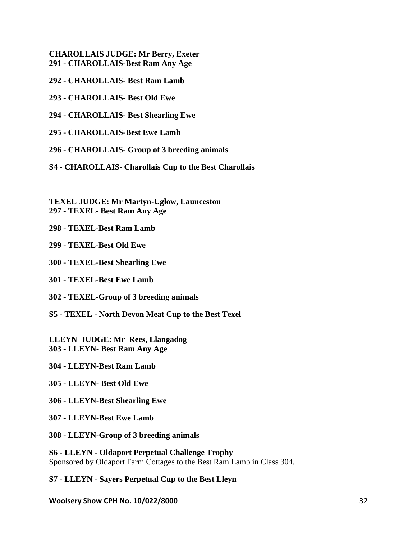**CHAROLLAIS JUDGE: Mr Berry, Exeter 291 - CHAROLLAIS-Best Ram Any Age**

**292 - CHAROLLAIS- Best Ram Lamb**

**293 - CHAROLLAIS- Best Old Ewe**

**294 - CHAROLLAIS- Best Shearling Ewe**

**295 - CHAROLLAIS-Best Ewe Lamb**

**296 - CHAROLLAIS- Group of 3 breeding animals**

**S4 - CHAROLLAIS- Charollais Cup to the Best Charollais**

**TEXEL JUDGE: Mr Martyn-Uglow, Launceston 297 - TEXEL- Best Ram Any Age**

**298 - TEXEL-Best Ram Lamb**

**299 - TEXEL-Best Old Ewe**

**300 - TEXEL-Best Shearling Ewe**

**301 - TEXEL-Best Ewe Lamb**

**302 - TEXEL-Group of 3 breeding animals**

**S5 - TEXEL - North Devon Meat Cup to the Best Texel**

**LLEYN JUDGE: Mr Rees, Llangadog 303 - LLEYN- Best Ram Any Age**

**304 - LLEYN-Best Ram Lamb**

**305 - LLEYN- Best Old Ewe**

**306 - LLEYN-Best Shearling Ewe**

**307 - LLEYN-Best Ewe Lamb**

**308 - LLEYN-Group of 3 breeding animals**

**S6 - LLEYN - Oldaport Perpetual Challenge Trophy**  Sponsored by Oldaport Farm Cottages to the Best Ram Lamb in Class 304.

**S7 - LLEYN - Sayers Perpetual Cup to the Best Lleyn**

**Woolsery Show CPH No. 10/022/8000** 32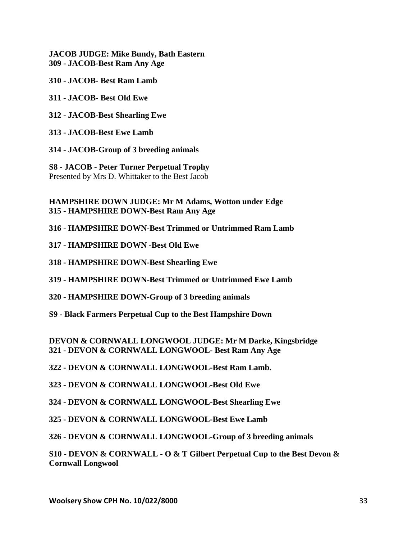**JACOB JUDGE: Mike Bundy, Bath Eastern 309 - JACOB-Best Ram Any Age**

**310 - JACOB- Best Ram Lamb**

**311 - JACOB- Best Old Ewe**

**312 - JACOB-Best Shearling Ewe**

**313 - JACOB-Best Ewe Lamb**

**314 - JACOB-Group of 3 breeding animals**

**S8 - JACOB - Peter Turner Perpetual Trophy** Presented by Mrs D. Whittaker to the Best Jacob

**HAMPSHIRE DOWN JUDGE: Mr M Adams, Wotton under Edge 315 - HAMPSHIRE DOWN-Best Ram Any Age**

**316 - HAMPSHIRE DOWN-Best Trimmed or Untrimmed Ram Lamb**

**317 - HAMPSHIRE DOWN -Best Old Ewe**

**318 - HAMPSHIRE DOWN-Best Shearling Ewe**

**319 - HAMPSHIRE DOWN-Best Trimmed or Untrimmed Ewe Lamb**

**320 - HAMPSHIRE DOWN-Group of 3 breeding animals**

**S9 - Black Farmers Perpetual Cup to the Best Hampshire Down**

**DEVON & CORNWALL LONGWOOL JUDGE: Mr M Darke, Kingsbridge 321 - DEVON & CORNWALL LONGWOOL- Best Ram Any Age**

**322 - DEVON & CORNWALL LONGWOOL-Best Ram Lamb.**

**323 - DEVON & CORNWALL LONGWOOL-Best Old Ewe**

**324 - DEVON & CORNWALL LONGWOOL-Best Shearling Ewe**

**325 - DEVON & CORNWALL LONGWOOL-Best Ewe Lamb**

**326 - DEVON & CORNWALL LONGWOOL-Group of 3 breeding animals**

**S10 - DEVON & CORNWALL - O & T Gilbert Perpetual Cup to the Best Devon & Cornwall Longwool**

**Woolsery Show CPH No. 10/022/8000** 33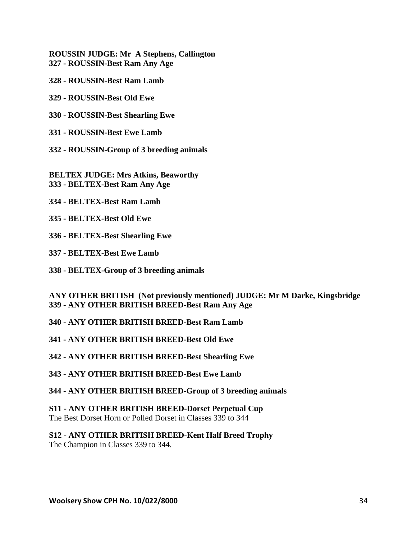**ROUSSIN JUDGE: Mr A Stephens, Callington 327 - ROUSSIN-Best Ram Any Age**

- **328 - ROUSSIN-Best Ram Lamb**
- **329 - ROUSSIN-Best Old Ewe**
- **330 - ROUSSIN-Best Shearling Ewe**
- **331 - ROUSSIN-Best Ewe Lamb**
- **332 - ROUSSIN-Group of 3 breeding animals**

**BELTEX JUDGE: Mrs Atkins, Beaworthy 333 - BELTEX-Best Ram Any Age**

- **334 - BELTEX-Best Ram Lamb**
- **335 - BELTEX-Best Old Ewe**
- **336 - BELTEX-Best Shearling Ewe**
- **337 - BELTEX-Best Ewe Lamb**
- **338 - BELTEX-Group of 3 breeding animals**

**ANY OTHER BRITISH (Not previously mentioned) JUDGE: Mr M Darke, Kingsbridge 339 - ANY OTHER BRITISH BREED-Best Ram Any Age**

- **340 - ANY OTHER BRITISH BREED-Best Ram Lamb**
- **341 - ANY OTHER BRITISH BREED-Best Old Ewe**
- **342 - ANY OTHER BRITISH BREED-Best Shearling Ewe**
- **343 - ANY OTHER BRITISH BREED-Best Ewe Lamb**
- **344 - ANY OTHER BRITISH BREED-Group of 3 breeding animals**

**S11 - ANY OTHER BRITISH BREED-Dorset Perpetual Cup** The Best Dorset Horn or Polled Dorset in Classes 339 to 344

**S12 - ANY OTHER BRITISH BREED-Kent Half Breed Trophy** The Champion in Classes 339 to 344.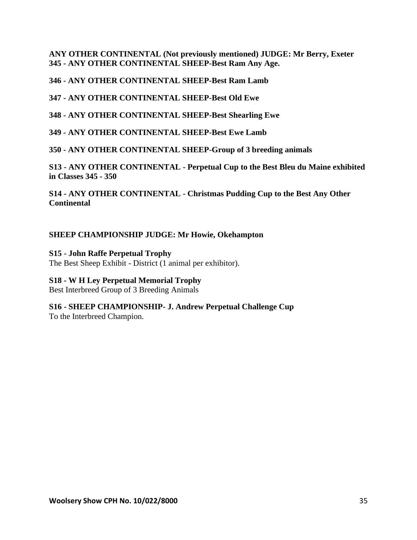**ANY OTHER CONTINENTAL (Not previously mentioned) JUDGE: Mr Berry, Exeter 345 - ANY OTHER CONTINENTAL SHEEP-Best Ram Any Age.**

**346 - ANY OTHER CONTINENTAL SHEEP-Best Ram Lamb**

**347 - ANY OTHER CONTINENTAL SHEEP-Best Old Ewe**

**348 - ANY OTHER CONTINENTAL SHEEP-Best Shearling Ewe**

**349 - ANY OTHER CONTINENTAL SHEEP-Best Ewe Lamb**

**350 - ANY OTHER CONTINENTAL SHEEP-Group of 3 breeding animals**

**S13 - ANY OTHER CONTINENTAL - Perpetual Cup to the Best Bleu du Maine exhibited in Classes 345 - 350**

**S14 - ANY OTHER CONTINENTAL - Christmas Pudding Cup to the Best Any Other Continental**

## **SHEEP CHAMPIONSHIP JUDGE: Mr Howie, Okehampton**

**S15 - John Raffe Perpetual Trophy**  The Best Sheep Exhibit - District (1 animal per exhibitor).

## **S18 - W H Ley Perpetual Memorial Trophy**

Best Interbreed Group of 3 Breeding Animals

# **S16 - SHEEP CHAMPIONSHIP- J. Andrew Perpetual Challenge Cup**

To the Interbreed Champion.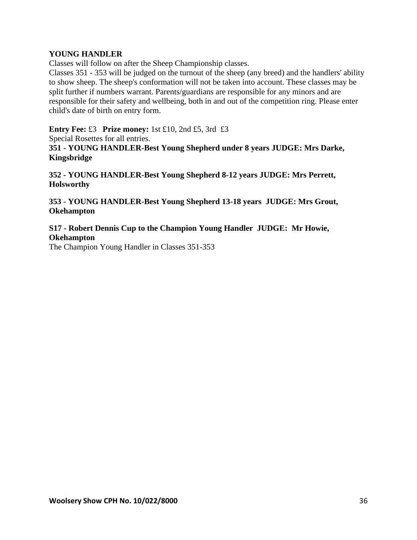#### **YOUNG HANDLER**

Classes will follow on after the Sheep Championship classes.

Classes 351 - 353 will be judged on the turnout of the sheep (any breed) and the handlers' ability to show sheep. The sheep's conformation will not be taken into account. These classes may be split further if numbers warrant. Parents/guardians are responsible for any minors and are responsible for their safety and wellbeing, both in and out of the competition ring. Please enter child's date of birth on entry form.

**Entry Fee:** £3 **Prize money:** 1st £10, 2nd £5, 3rd £3

Special Rosettes for all entries.

**351 - YOUNG HANDLER-Best Young Shepherd under 8 years JUDGE: Mrs Darke, Kingsbridge**

**352 - YOUNG HANDLER-Best Young Shepherd 8-12 years JUDGE: Mrs Perrett, Holsworthy**

**353 - YOUNG HANDLER-Best Young Shepherd 13-18 years JUDGE: Mrs Grout, Okehampton**

## **S17 - Robert Dennis Cup to the Champion Young Handler JUDGE: Mr Howie, Okehampton**

The Champion Young Handler in Classes 351-353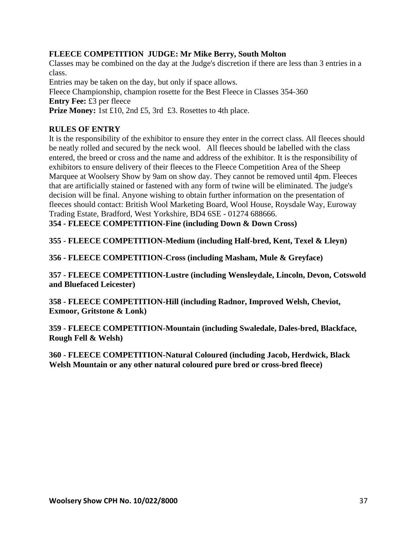## **FLEECE COMPETITION JUDGE: Mr Mike Berry, South Molton**

Classes may be combined on the day at the Judge's discretion if there are less than 3 entries in a class.

Entries may be taken on the day, but only if space allows.

Fleece Championship, champion rosette for the Best Fleece in Classes 354-360 **Entry Fee:** £3 per fleece

**Prize Money:** 1st £10, 2nd £5, 3rd £3. Rosettes to 4th place.

## **RULES OF ENTRY**

It is the responsibility of the exhibitor to ensure they enter in the correct class. All fleeces should be neatly rolled and secured by the neck wool. All fleeces should be labelled with the class entered, the breed or cross and the name and address of the exhibitor. It is the responsibility of exhibitors to ensure delivery of their fleeces to the Fleece Competition Area of the Sheep Marquee at Woolsery Show by 9am on show day. They cannot be removed until 4pm. Fleeces that are artificially stained or fastened with any form of twine will be eliminated. The judge's decision will be final. Anyone wishing to obtain further information on the presentation of fleeces should contact: British Wool Marketing Board, Wool House, Roysdale Way, Euroway Trading Estate, Bradford, West Yorkshire, BD4 6SE - 01274 688666.

**354 - FLEECE COMPETITION-Fine (including Down & Down Cross)**

**355 - FLEECE COMPETITION-Medium (including Half-bred, Kent, Texel & Lleyn)**

**356 - FLEECE COMPETITION-Cross (including Masham, Mule & Greyface)**

**357 - FLEECE COMPETITION-Lustre (including Wensleydale, Lincoln, Devon, Cotswold and Bluefaced Leicester)**

**358 - FLEECE COMPETITION-Hill (including Radnor, Improved Welsh, Cheviot, Exmoor, Gritstone & Lonk)**

**359 - FLEECE COMPETITION-Mountain (including Swaledale, Dales-bred, Blackface, Rough Fell & Welsh)**

**360 - FLEECE COMPETITION-Natural Coloured (including Jacob, Herdwick, Black Welsh Mountain or any other natural coloured pure bred or cross-bred fleece)**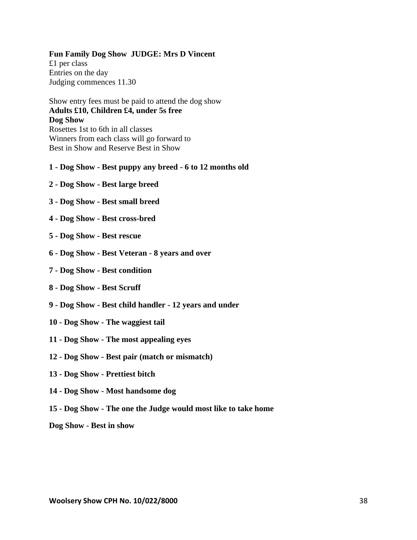#### **Fun Family Dog Show JUDGE: Mrs D Vincent**

£1 per class Entries on the day Judging commences 11.30

Show entry fees must be paid to attend the dog show **Adults £10, Children £4, under 5s free Dog Show** Rosettes 1st to 6th in all classes Winners from each class will go forward to Best in Show and Reserve Best in Show

#### **1 - Dog Show - Best puppy any breed - 6 to 12 months old**

- **2 - Dog Show - Best large breed**
- **3 - Dog Show - Best small breed**
- **4 - Dog Show - Best cross-bred**
- **5 - Dog Show - Best rescue**
- **6 - Dog Show - Best Veteran - 8 years and over**
- **7 - Dog Show - Best condition**
- **8 - Dog Show - Best Scruff**
- **9 - Dog Show - Best child handler - 12 years and under**
- **10 - Dog Show - The waggiest tail**
- **11 - Dog Show - The most appealing eyes**
- **12 - Dog Show - Best pair (match or mismatch)**
- **13 - Dog Show - Prettiest bitch**
- **14 - Dog Show - Most handsome dog**
- **15 - Dog Show - The one the Judge would most like to take home**

**Dog Show - Best in show**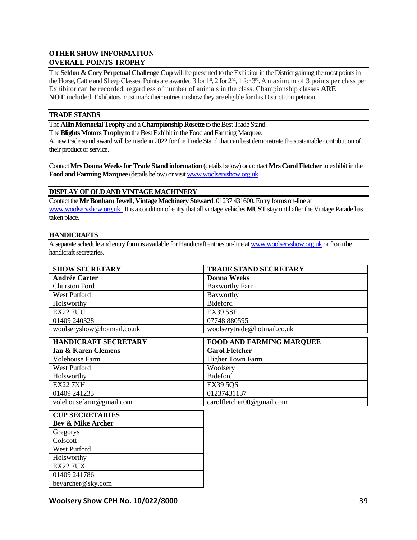#### **OTHER SHOW INFORMATION**

#### **OVERALL POINTS TROPHY**

The **Seldon & Cory Perpetual Challenge Cup** will be presented to the Exhibitor in the District gaining the most points in the Horse, Cattle and Sheep Classes. Points are awarded 3 for 1<sup>st</sup>, 2 for 2<sup>nd</sup>, 1 for 3<sup>rd</sup>. A maximum of 3 points per class per Exhibitor can be recorded, regardless of number of animals in the class. Championship classes **ARE NOT** included. Exhibitors must mark their entries to show they are eligible for this District competition.

#### **TRADE STANDS**

The **Allin Memorial Trophy** and a **Championship Rosette** to the Best Trade Stand.

The **Blights Motors Trophy** to the Best Exhibit in the Food and Farming Marquee.

A new trade stand award will be made in 2022 for the Trade Stand that can best demonstrate the sustainable contribution of their product or service.

Contact **Mrs Donna Weeks for Trade Stand information** (details below) or contact **Mrs Carol Fletcher** to exhibit in the **Food and Farming Marquee** (details below) or visi[t www.woolseryshow.org.uk](http://www.woolseryshow.org.uk/)

#### **DISPLAY OF OLD AND VINTAGE MACHINERY**

Contact the **Mr Bonham Jewell, Vintage Machinery Steward**, 01237 431600. Entry forms on-line at [www.woolseryshow.org.uk](http://www.woolseryshow.org.uk/) It is a condition of entry that all vintage vehicles **MUST**stay until after the Vintage Parade has taken place.

#### **HANDICRAFTS**

A separate schedule and entry form is available for Handicraft entries on-line a[t www.woolseryshow.org.uk](http://www.woolseryshow.org.uk/) or from the handicraft secretaries.

| <b>SHOW SECRETARY</b>       | <b>TRADE STAND SECRETARY</b>    |
|-----------------------------|---------------------------------|
| <b>Andrée Carter</b>        | <b>Donna Weeks</b>              |
| <b>Churston Ford</b>        | <b>Baxworthy Farm</b>           |
| <b>West Putford</b>         | Baxworthy                       |
| Holsworthy                  | <b>Bideford</b>                 |
| <b>EX22 7UU</b>             | <b>EX39 5SE</b>                 |
| 01409 240328                | 07748 880595                    |
| woolseryshow@hotmail.co.uk  | woolserytrade@hotmail.co.uk     |
| <b>HANDICRAFT SECRETARY</b> | <b>FOOD AND FARMING MARQUEE</b> |
| Ian & Karen Clemens         | <b>Carol Fletcher</b>           |
|                             |                                 |
| Volehouse Farm              | <b>Higher Town Farm</b>         |
| West Putford                | Woolsery                        |
| Holsworthy                  | Bideford                        |
| <b>EX22 7XH</b>             | <b>EX39 5QS</b>                 |
| 01409 241233                | 01237431137                     |

| <b>CUP SECRETARIES</b>       |
|------------------------------|
| <b>Bev &amp; Mike Archer</b> |
| Gregorys                     |
| Colscott                     |
| <b>West Putford</b>          |
| Holsworthy                   |
| <b>EX22 7UX</b>              |
| 01409 241786                 |
| bevarcher@sky.com            |